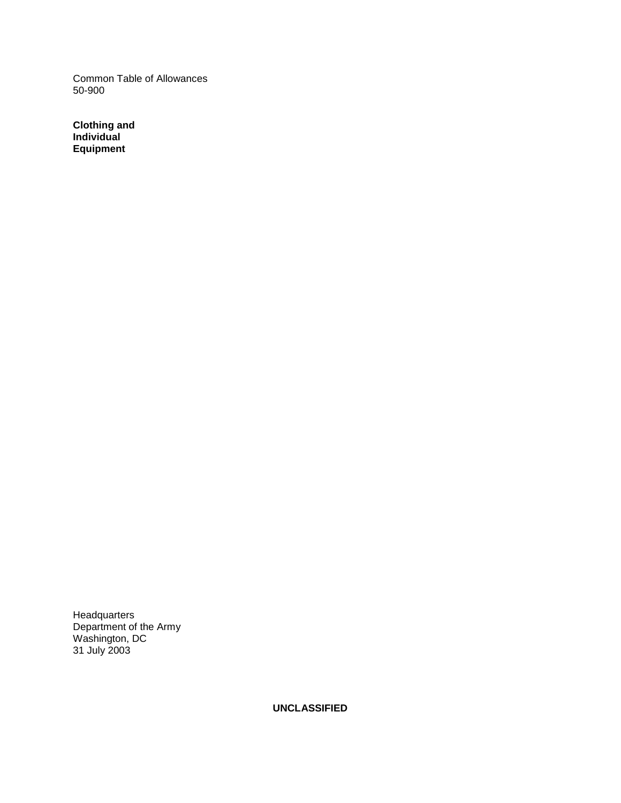Common Table of Allowances 50-900

**Clothing and Individual Equipment** 

**Headquarters** Department of the Army Washington, DC 31 July 2003

**UNCLASSIFIED**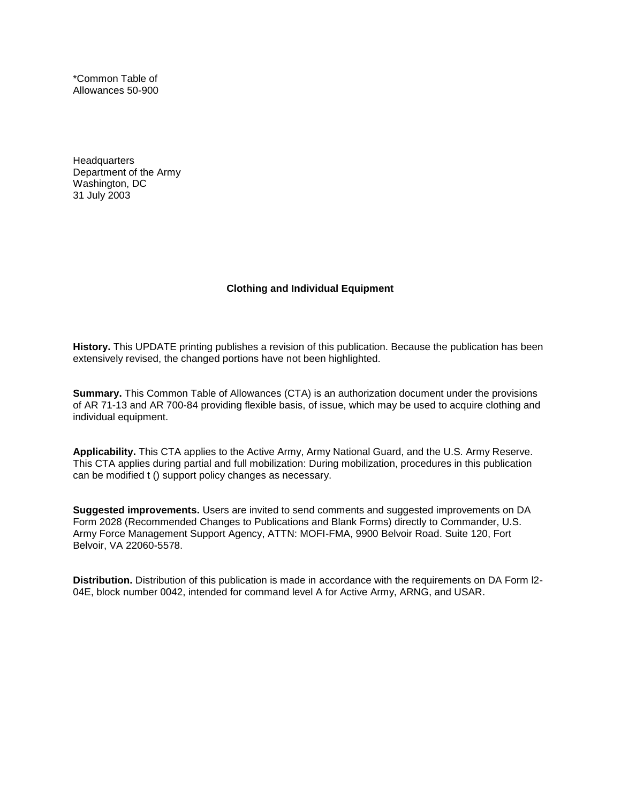\*Common Table of Allowances 50-900

**Headquarters** Department of the Army Washington, DC 31 July 2003

#### **Clothing and Individual Equipment**

**History.** This UPDATE printing publishes a revision of this publication. Because the publication has been extensively revised, the changed portions have not been highlighted.

**Summary.** This Common Table of Allowances (CTA) is an authorization document under the provisions of AR 71-13 and AR 700-84 providing flexible basis, of issue, which may be used to acquire clothing and individual equipment.

**Applicability.** This CTA applies to the Active Army, Army National Guard, and the U.S. Army Reserve. This CTA applies during partial and full mobilization: During mobilization, procedures in this publication can be modified t () support policy changes as necessary.

**Suggested improvements.** Users are invited to send comments and suggested improvements on DA Form 2028 (Recommended Changes to Publications and Blank Forms) directly to Commander, U.S. Army Force Management Support Agency, ATTN: MOFI-FMA, 9900 Belvoir Road. Suite 120, Fort Belvoir, VA 22060-5578.

**Distribution.** Distribution of this publication is made in accordance with the requirements on DA Form l2- 04E, block number 0042, intended for command level A for Active Army, ARNG, and USAR.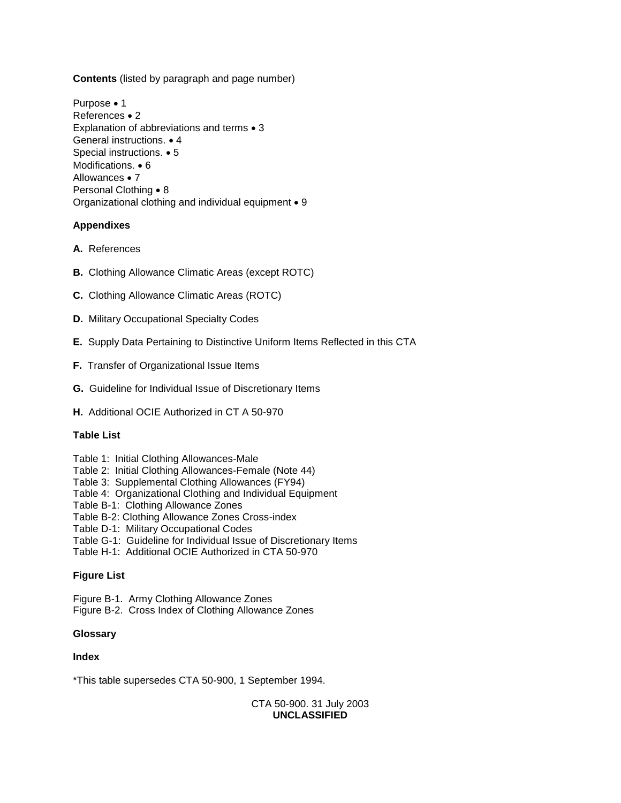**Contents** (listed by paragraph and page number)

Purpose • 1 References • 2 Explanation of abbreviations and terms • 3 General instructions. • 4 Special instructions. • 5 Modifications. • 6 Allowances • 7 Personal Clothing • 8 Organizational clothing and individual equipment • 9

# **Appendixes**

- **A.** References
- **B.** Clothing Allowance Climatic Areas (except ROTC)
- **C.** Clothing Allowance Climatic Areas (ROTC)
- **D.** Military Occupational Specialty Codes
- **E.** Supply Data Pertaining to Distinctive Uniform Items Reflected in this CTA
- **F.** Transfer of Organizational Issue Items
- **G.** Guideline for Individual Issue of Discretionary Items
- **H.** Additional OCIE Authorized in CT A 50-970

# **Table List**

- Table 1: Initial Clothing Allowances-Male
- Table 2: Initial Clothing Allowances-Female (Note 44)
- Table 3: Supplemental Clothing Allowances (FY94)
- Table 4: Organizational Clothing and Individual Equipment
- Table B-1: Clothing Allowance Zones
- Table B-2: Clothing Allowance Zones Cross-index
- Table D-1: Military Occupational Codes
- Table G-1: Guideline for Individual Issue of Discretionary Items
- Table H-1: Additional OCIE Authorized in CTA 50-970

# **Figure List**

Figure B-1. Army Clothing Allowance Zones

Figure B-2. Cross Index of Clothing Allowance Zones

# **Glossary**

# **Index**

\*This table supersedes CTA 50-900, 1 September 1994.

CTA 50-900. 31 July 2003 **UNCLASSIFIED**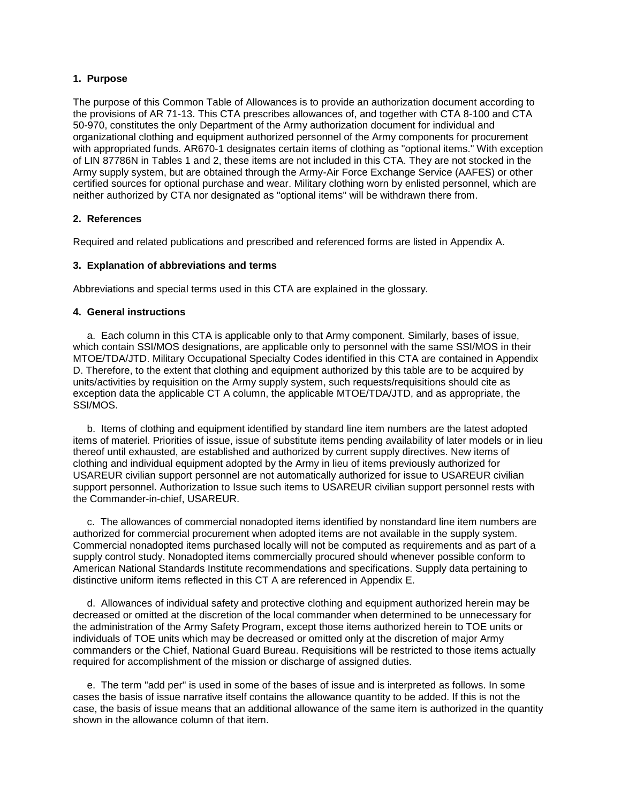### **1. Purpose**

The purpose of this Common Table of Allowances is to provide an authorization document according to the provisions of AR 71-13. This CTA prescribes allowances of, and together with CTA 8-100 and CTA 50-970, constitutes the only Department of the Army authorization document for individual and organizational clothing and equipment authorized personnel of the Army components for procurement with appropriated funds. AR670-1 designates certain items of clothing as "optional items." With exception of LIN 87786N in Tables 1 and 2, these items are not included in this CTA. They are not stocked in the Army supply system, but are obtained through the Army-Air Force Exchange Service (AAFES) or other certified sources for optional purchase and wear. Military clothing worn by enlisted personnel, which are neither authorized by CTA nor designated as "optional items" will be withdrawn there from.

## **2. References**

Required and related publications and prescribed and referenced forms are listed in Appendix A.

## **3. Explanation of abbreviations and terms**

Abbreviations and special terms used in this CTA are explained in the glossary.

## **4. General instructions**

 a. Each column in this CTA is applicable only to that Army component. Similarly, bases of issue, which contain SSI/MOS designations, are applicable only to personnel with the same SSI/MOS in their MTOE/TDA/JTD. Military Occupational Specialty Codes identified in this CTA are contained in Appendix D. Therefore, to the extent that clothing and equipment authorized by this table are to be acquired by units/activities by requisition on the Army supply system, such requests/requisitions should cite as exception data the applicable CT A column, the applicable MTOE/TDA/JTD, and as appropriate, the SSI/MOS.

 b. Items of clothing and equipment identified by standard line item numbers are the latest adopted items of materiel. Priorities of issue, issue of substitute items pending availability of later models or in lieu thereof until exhausted, are established and authorized by current supply directives. New items of clothing and individual equipment adopted by the Army in lieu of items previously authorized for USAREUR civilian support personnel are not automatically authorized for issue to USAREUR civilian support personnel. Authorization to Issue such items to USAREUR civilian support personnel rests with the Commander-in-chief, USAREUR.

 c. The allowances of commercial nonadopted items identified by nonstandard line item numbers are authorized for commercial procurement when adopted items are not available in the supply system. Commercial nonadopted items purchased locally will not be computed as requirements and as part of a supply control study. Nonadopted items commercially procured should whenever possible conform to American National Standards Institute recommendations and specifications. Supply data pertaining to distinctive uniform items reflected in this CT A are referenced in Appendix E.

 d. Allowances of individual safety and protective clothing and equipment authorized herein may be decreased or omitted at the discretion of the local commander when determined to be unnecessary for the administration of the Army Safety Program, except those items authorized herein to TOE units or individuals of TOE units which may be decreased or omitted only at the discretion of major Army commanders or the Chief, National Guard Bureau. Requisitions will be restricted to those items actually required for accomplishment of the mission or discharge of assigned duties.

 e. The term "add per" is used in some of the bases of issue and is interpreted as follows. In some cases the basis of issue narrative itself contains the allowance quantity to be added. If this is not the case, the basis of issue means that an additional allowance of the same item is authorized in the quantity shown in the allowance column of that item.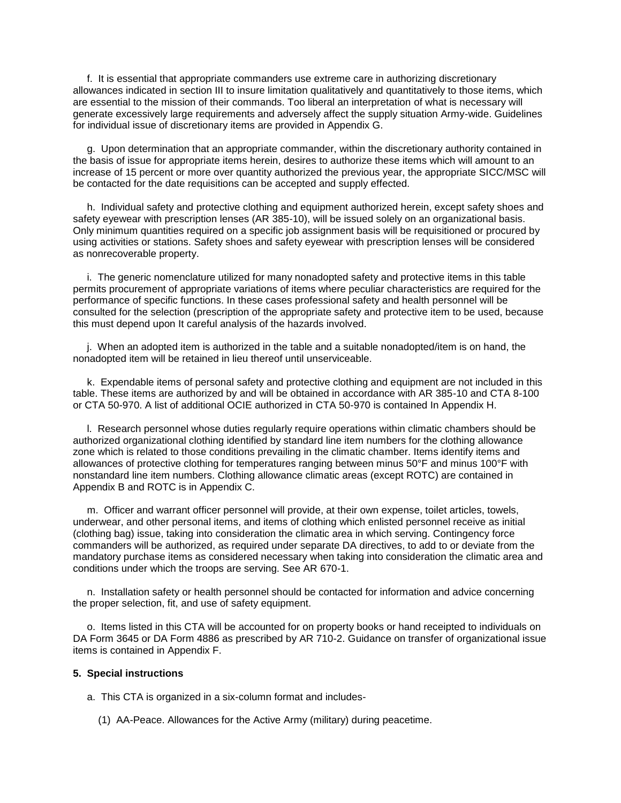f. It is essential that appropriate commanders use extreme care in authorizing discretionary allowances indicated in section III to insure limitation qualitatively and quantitatively to those items, which are essential to the mission of their commands. Too liberal an interpretation of what is necessary will generate excessively large requirements and adversely affect the supply situation Army-wide. Guidelines for individual issue of discretionary items are provided in Appendix G.

 g. Upon determination that an appropriate commander, within the discretionary authority contained in the basis of issue for appropriate items herein, desires to authorize these items which will amount to an increase of 15 percent or more over quantity authorized the previous year, the appropriate SICC/MSC will be contacted for the date requisitions can be accepted and supply effected.

 h. Individual safety and protective clothing and equipment authorized herein, except safety shoes and safety eyewear with prescription lenses (AR 385-10), will be issued solely on an organizational basis. Only minimum quantities required on a specific job assignment basis will be requisitioned or procured by using activities or stations. Safety shoes and safety eyewear with prescription lenses will be considered as nonrecoverable property.

 i. The generic nomenclature utilized for many nonadopted safety and protective items in this table permits procurement of appropriate variations of items where peculiar characteristics are required for the performance of specific functions. In these cases professional safety and health personnel will be consulted for the selection (prescription of the appropriate safety and protective item to be used, because this must depend upon It careful analysis of the hazards involved.

 j. When an adopted item is authorized in the table and a suitable nonadopted/item is on hand, the nonadopted item will be retained in lieu thereof until unserviceable.

 k. Expendable items of personal safety and protective clothing and equipment are not included in this table. These items are authorized by and will be obtained in accordance with AR 385-10 and CTA 8-100 or CTA 50-970. A list of additional OCIE authorized in CTA 50-970 is contained In Appendix H.

 l. Research personnel whose duties regularly require operations within climatic chambers should be authorized organizational clothing identified by standard line item numbers for the clothing allowance zone which is related to those conditions prevailing in the climatic chamber. Items identify items and allowances of protective clothing for temperatures ranging between minus 50°F and minus 100°F with nonstandard line item numbers. Clothing allowance climatic areas (except ROTC) are contained in Appendix B and ROTC is in Appendix C.

 m. Officer and warrant officer personnel will provide, at their own expense, toilet articles, towels, underwear, and other personal items, and items of clothing which enlisted personnel receive as initial (clothing bag) issue, taking into consideration the climatic area in which serving. Contingency force commanders will be authorized, as required under separate DA directives, to add to or deviate from the mandatory purchase items as considered necessary when taking into consideration the climatic area and conditions under which the troops are serving. See AR 670-1.

 n. Installation safety or health personnel should be contacted for information and advice concerning the proper selection, fit, and use of safety equipment.

 o. Items listed in this CTA will be accounted for on property books or hand receipted to individuals on DA Form 3645 or DA Form 4886 as prescribed by AR 710-2. Guidance on transfer of organizational issue items is contained in Appendix F.

#### **5. Special instructions**

a. This CTA is organized in a six-column format and includes-

(1) AA-Peace. Allowances for the Active Army (military) during peacetime.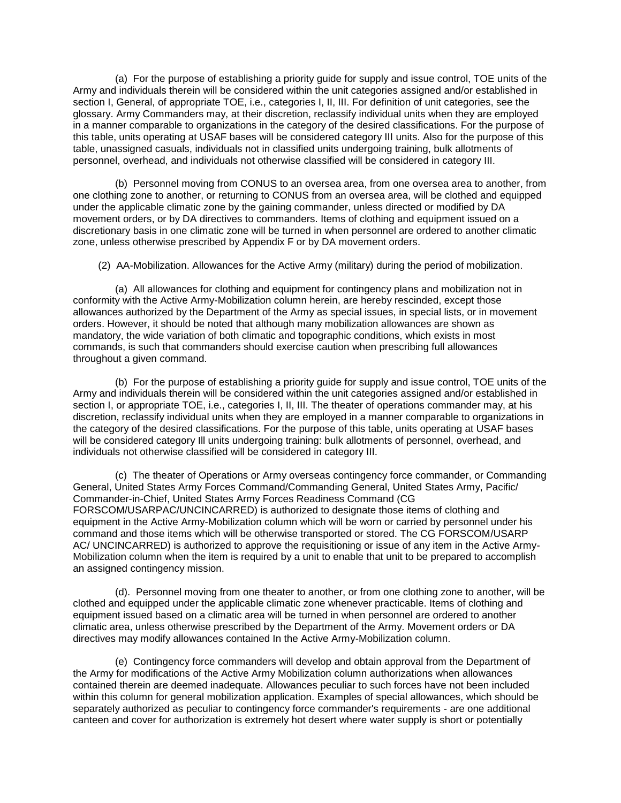(a) For the purpose of establishing a priority guide for supply and issue control, TOE units of the Army and individuals therein will be considered within the unit categories assigned and/or established in section I, General, of appropriate TOE, i.e., categories I, II, III. For definition of unit categories, see the glossary. Army Commanders may, at their discretion, reclassify individual units when they are employed in a manner comparable to organizations in the category of the desired classifications. For the purpose of this table, units operating at USAF bases will be considered category III units. Also for the purpose of this table, unassigned casuals, individuals not in classified units undergoing training, bulk allotments of personnel, overhead, and individuals not otherwise classified will be considered in category III.

 (b) Personnel moving from CONUS to an oversea area, from one oversea area to another, from one clothing zone to another, or returning to CONUS from an oversea area, will be clothed and equipped under the applicable climatic zone by the gaining commander, unless directed or modified by DA movement orders, or by DA directives to commanders. Items of clothing and equipment issued on a discretionary basis in one climatic zone will be turned in when personnel are ordered to another climatic zone, unless otherwise prescribed by Appendix F or by DA movement orders.

(2) AA-Mobilization. Allowances for the Active Army (military) during the period of mobilization.

 (a) All allowances for clothing and equipment for contingency plans and mobilization not in conformity with the Active Army-Mobilization column herein, are hereby rescinded, except those allowances authorized by the Department of the Army as special issues, in special lists, or in movement orders. However, it should be noted that although many mobilization allowances are shown as mandatory, the wide variation of both climatic and topographic conditions, which exists in most commands, is such that commanders should exercise caution when prescribing full allowances throughout a given command.

 (b) For the purpose of establishing a priority guide for supply and issue control, TOE units of the Army and individuals therein will be considered within the unit categories assigned and/or established in section I, or appropriate TOE, i.e., categories I, II, III. The theater of operations commander may, at his discretion, reclassify individual units when they are employed in a manner comparable to organizations in the category of the desired classifications. For the purpose of this table, units operating at USAF bases will be considered category Ill units undergoing training: bulk allotments of personnel, overhead, and individuals not otherwise classified will be considered in category III.

 (c) The theater of Operations or Army overseas contingency force commander, or Commanding General, United States Army Forces Command/Commanding General, United States Army, Pacific/ Commander-in-Chief, United States Army Forces Readiness Command (CG FORSCOM/USARPAC/UNCINCARRED) is authorized to designate those items of clothing and equipment in the Active Army-Mobilization column which will be worn or carried by personnel under his command and those items which will be otherwise transported or stored. The CG FORSCOM/USARP AC/ UNCINCARRED) is authorized to approve the requisitioning or issue of any item in the Active Army-Mobilization column when the item is required by a unit to enable that unit to be prepared to accomplish an assigned contingency mission.

 (d). Personnel moving from one theater to another, or from one clothing zone to another, will be clothed and equipped under the applicable climatic zone whenever practicable. Items of clothing and equipment issued based on a climatic area will be turned in when personnel are ordered to another climatic area, unless otherwise prescribed by the Department of the Army. Movement orders or DA directives may modify allowances contained In the Active Army-Mobilization column.

 (e) Contingency force commanders will develop and obtain approval from the Department of the Army for modifications of the Active Army Mobilization column authorizations when allowances contained therein are deemed inadequate. Allowances peculiar to such forces have not been included within this column for general mobilization application. Examples of special allowances, which should be separately authorized as peculiar to contingency force commander's requirements - are one additional canteen and cover for authorization is extremely hot desert where water supply is short or potentially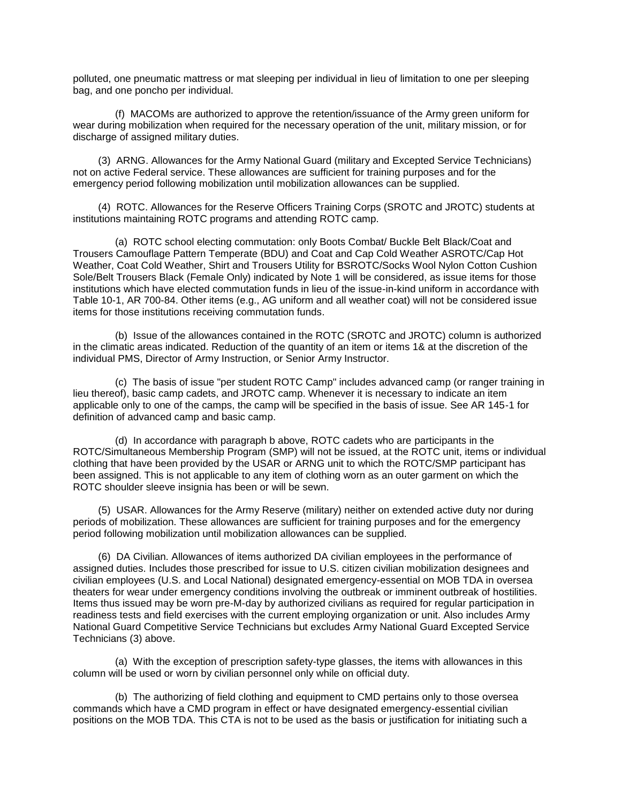polluted, one pneumatic mattress or mat sleeping per individual in lieu of limitation to one per sleeping bag, and one poncho per individual.

 (f) MACOMs are authorized to approve the retention/issuance of the Army green uniform for wear during mobilization when required for the necessary operation of the unit, military mission, or for discharge of assigned military duties.

 (3) ARNG. Allowances for the Army National Guard (military and Excepted Service Technicians) not on active Federal service. These allowances are sufficient for training purposes and for the emergency period following mobilization until mobilization allowances can be supplied.

 (4) ROTC. Allowances for the Reserve Officers Training Corps (SROTC and JROTC) students at institutions maintaining ROTC programs and attending ROTC camp.

 (a) ROTC school electing commutation: only Boots Combat/ Buckle Belt Black/Coat and Trousers Camouflage Pattern Temperate (BDU) and Coat and Cap Cold Weather ASROTC/Cap Hot Weather, Coat Cold Weather, Shirt and Trousers Utility for BSROTC/Socks Wool Nylon Cotton Cushion Sole/Belt Trousers Black (Female Only) indicated by Note 1 will be considered, as issue items for those institutions which have elected commutation funds in lieu of the issue-in-kind uniform in accordance with Table 10-1, AR 700-84. Other items (e.g., AG uniform and all weather coat) will not be considered issue items for those institutions receiving commutation funds.

 (b) Issue of the allowances contained in the ROTC (SROTC and JROTC) column is authorized in the climatic areas indicated. Reduction of the quantity of an item or items 1& at the discretion of the individual PMS, Director of Army Instruction, or Senior Army Instructor.

 (c) The basis of issue "per student ROTC Camp" includes advanced camp (or ranger training in lieu thereof), basic camp cadets, and JROTC camp. Whenever it is necessary to indicate an item applicable only to one of the camps, the camp will be specified in the basis of issue. See AR 145-1 for definition of advanced camp and basic camp.

 (d) In accordance with paragraph b above, ROTC cadets who are participants in the ROTC/Simultaneous Membership Program (SMP) will not be issued, at the ROTC unit, items or individual clothing that have been provided by the USAR or ARNG unit to which the ROTC/SMP participant has been assigned. This is not applicable to any item of clothing worn as an outer garment on which the ROTC shoulder sleeve insignia has been or will be sewn.

 (5) USAR. Allowances for the Army Reserve (military) neither on extended active duty nor during periods of mobilization. These allowances are sufficient for training purposes and for the emergency period following mobilization until mobilization allowances can be supplied.

 (6) DA Civilian. Allowances of items authorized DA civilian employees in the performance of assigned duties. Includes those prescribed for issue to U.S. citizen civilian mobilization designees and civilian employees (U.S. and Local National) designated emergency-essential on MOB TDA in oversea theaters for wear under emergency conditions involving the outbreak or imminent outbreak of hostilities. Items thus issued may be worn pre-M-day by authorized civilians as required for regular participation in readiness tests and field exercises with the current employing organization or unit. Also includes Army National Guard Competitive Service Technicians but excludes Army National Guard Excepted Service Technicians (3) above.

 (a) With the exception of prescription safety-type glasses, the items with allowances in this column will be used or worn by civilian personnel only while on official duty.

 (b) The authorizing of field clothing and equipment to CMD pertains only to those oversea commands which have a CMD program in effect or have designated emergency-essential civilian positions on the MOB TDA. This CTA is not to be used as the basis or justification for initiating such a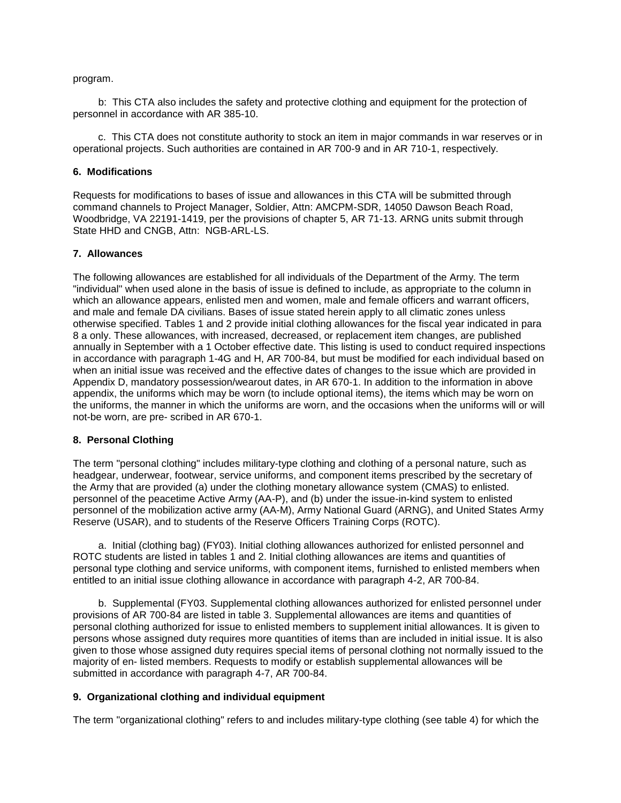program.

 b: This CTA also includes the safety and protective clothing and equipment for the protection of personnel in accordance with AR 385-10.

 c. This CTA does not constitute authority to stock an item in major commands in war reserves or in operational projects. Such authorities are contained in AR 700-9 and in AR 710-1, respectively.

#### **6. Modifications**

Requests for modifications to bases of issue and allowances in this CTA will be submitted through command channels to Project Manager, Soldier, Attn: AMCPM-SDR, 14050 Dawson Beach Road, Woodbridge, VA 22191-1419, per the provisions of chapter 5, AR 71-13. ARNG units submit through State HHD and CNGB, Attn: NGB-ARL-LS.

#### **7. Allowances**

The following allowances are established for all individuals of the Department of the Army. The term "individual" when used alone in the basis of issue is defined to include, as appropriate to the column in which an allowance appears, enlisted men and women, male and female officers and warrant officers, and male and female DA civilians. Bases of issue stated herein apply to all climatic zones unless otherwise specified. Tables 1 and 2 provide initial clothing allowances for the fiscal year indicated in para 8 a only. These allowances, with increased, decreased, or replacement item changes, are published annually in September with a 1 October effective date. This listing is used to conduct required inspections in accordance with paragraph 1-4G and H, AR 700-84, but must be modified for each individual based on when an initial issue was received and the effective dates of changes to the issue which are provided in Appendix D, mandatory possession/wearout dates, in AR 670-1. In addition to the information in above appendix, the uniforms which may be worn (to include optional items), the items which may be worn on the uniforms, the manner in which the uniforms are worn, and the occasions when the uniforms will or will not-be worn, are pre- scribed in AR 670-1.

#### **8. Personal Clothing**

The term "personal clothing" includes military-type clothing and clothing of a personal nature, such as headgear, underwear, footwear, service uniforms, and component items prescribed by the secretary of the Army that are provided (a) under the clothing monetary allowance system (CMAS) to enlisted. personnel of the peacetime Active Army (AA-P), and (b) under the issue-in-kind system to enlisted personnel of the mobilization active army (AA-M), Army National Guard (ARNG), and United States Army Reserve (USAR), and to students of the Reserve Officers Training Corps (ROTC).

 a. Initial (clothing bag) (FY03). Initial clothing allowances authorized for enlisted personnel and ROTC students are listed in tables 1 and 2. Initial clothing allowances are items and quantities of personal type clothing and service uniforms, with component items, furnished to enlisted members when entitled to an initial issue clothing allowance in accordance with paragraph 4-2, AR 700-84.

 b. Supplemental (FY03. Supplemental clothing allowances authorized for enlisted personnel under provisions of AR 700-84 are listed in table 3. Supplemental allowances are items and quantities of personal clothing authorized for issue to enlisted members to supplement initial allowances. It is given to persons whose assigned duty requires more quantities of items than are included in initial issue. It is also given to those whose assigned duty requires special items of personal clothing not normally issued to the majority of en- listed members. Requests to modify or establish supplemental allowances will be submitted in accordance with paragraph 4-7, AR 700-84.

# **9. Organizational clothing and individual equipment**

The term "organizational clothing" refers to and includes military-type clothing (see table 4) for which the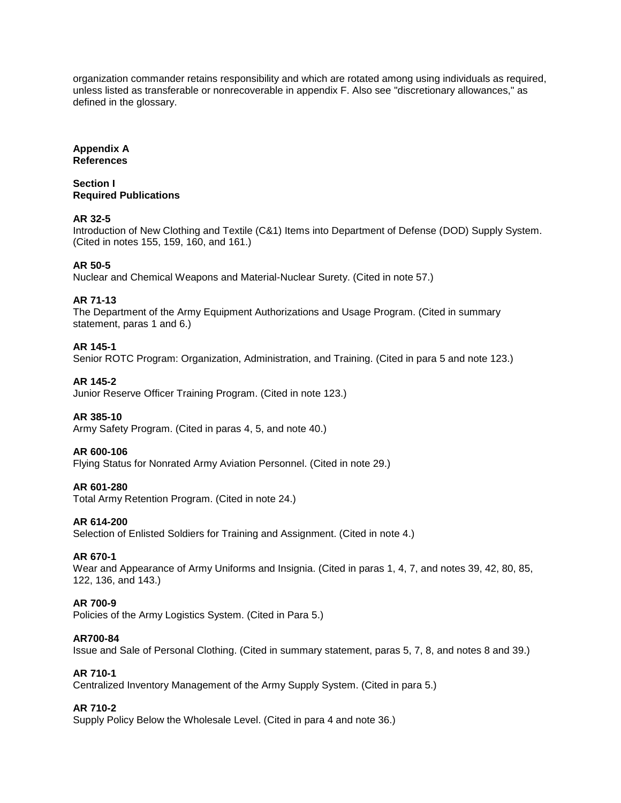organization commander retains responsibility and which are rotated among using individuals as required, unless listed as transferable or nonrecoverable in appendix F. Also see "discretionary allowances," as defined in the glossary.

## **Appendix A References**

**Section I Required Publications**

# **AR 32-5**

Introduction of New Clothing and Textile (C&1) Items into Department of Defense (DOD) Supply System. (Cited in notes 155, 159, 160, and 161.)

# **AR 50-5**

Nuclear and Chemical Weapons and Material-Nuclear Surety. (Cited in note 57.)

# **AR 71-13**

The Department of the Army Equipment Authorizations and Usage Program. (Cited in summary statement, paras 1 and 6.)

# **AR 145-1**

Senior ROTC Program: Organization, Administration, and Training. (Cited in para 5 and note 123.)

# **AR 145-2**

Junior Reserve Officer Training Program. (Cited in note 123.)

# **AR 385-10**

Army Safety Program. (Cited in paras 4, 5, and note 40.)

# **AR 600-106**

Flying Status for Nonrated Army Aviation Personnel. (Cited in note 29.)

# **AR 601-280**

Total Army Retention Program. (Cited in note 24.)

# **AR 614-200**

Selection of Enlisted Soldiers for Training and Assignment. (Cited in note 4.)

# **AR 670-1**

Wear and Appearance of Army Uniforms and Insignia. (Cited in paras 1, 4, 7, and notes 39, 42, 80, 85, 122, 136, and 143.)

# **AR 700-9**

Policies of the Army Logistics System. (Cited in Para 5.)

#### **AR700-84**

Issue and Sale of Personal Clothing. (Cited in summary statement, paras 5, 7, 8, and notes 8 and 39.)

# **AR 710-1**

Centralized Inventory Management of the Army Supply System. (Cited in para 5.)

# **AR 710-2**

Supply Policy Below the Wholesale Level. (Cited in para 4 and note 36.)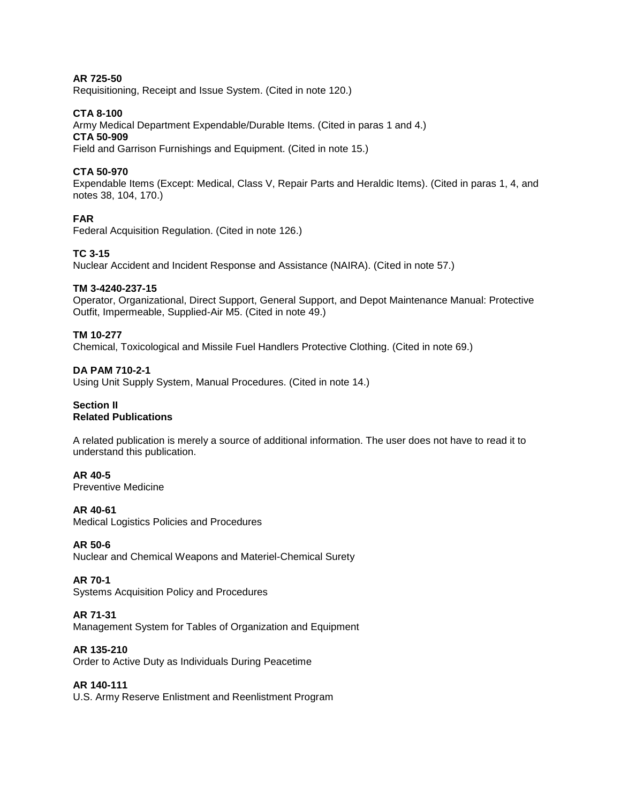## **AR 725-50**

Requisitioning, Receipt and Issue System. (Cited in note 120.)

#### **CTA 8-100**

Army Medical Department Expendable/Durable Items. (Cited in paras 1 and 4.) **CTA 50-909**  Field and Garrison Furnishings and Equipment. (Cited in note 15.)

#### **CTA 50-970**

Expendable Items (Except: Medical, Class V, Repair Parts and Heraldic Items). (Cited in paras 1, 4, and notes 38, 104, 170.)

#### **FAR**

Federal Acquisition Regulation. (Cited in note 126.)

#### **TC 3-15**

Nuclear Accident and Incident Response and Assistance (NAIRA). (Cited in note 57.)

#### **TM 3-4240-237-15**

Operator, Organizational, Direct Support, General Support, and Depot Maintenance Manual: Protective Outfit, Impermeable, Supplied-Air M5. (Cited in note 49.)

#### **TM 10-277**

Chemical, Toxicological and Missile Fuel Handlers Protective Clothing. (Cited in note 69.)

#### **DA PAM 710-2-1**

Using Unit Supply System, Manual Procedures. (Cited in note 14.)

#### **Section II Related Publications**

A related publication is merely a source of additional information. The user does not have to read it to understand this publication.

#### **AR 40-5**

Preventive Medicine

#### **AR 40-61**

Medical Logistics Policies and Procedures

#### **AR 50-6**

Nuclear and Chemical Weapons and Materiel-Chemical Surety

#### **AR 70-1**

Systems Acquisition Policy and Procedures

#### **AR 71-31**

Management System for Tables of Organization and Equipment

#### **AR 135-210**

Order to Active Duty as Individuals During Peacetime

### **AR 140-111**

U.S. Army Reserve Enlistment and Reenlistment Program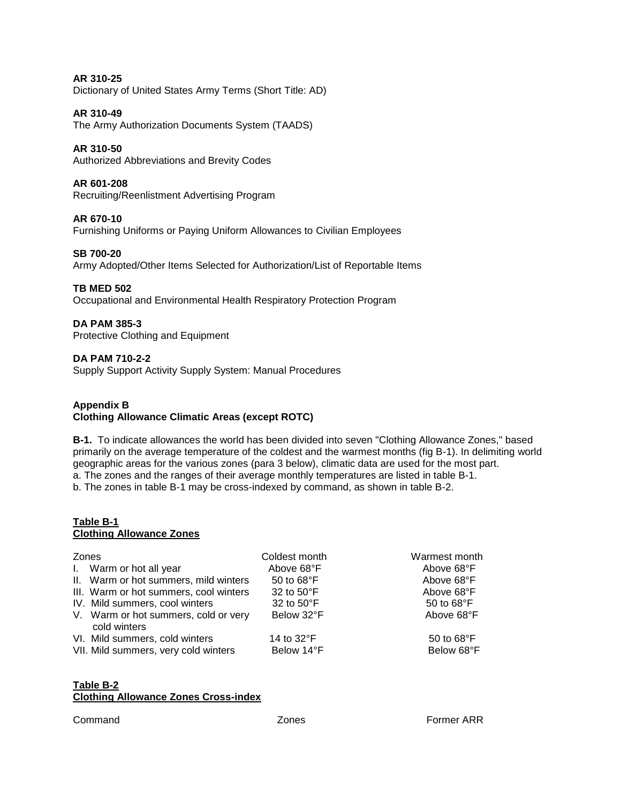**AR 310-25**  Dictionary of United States Army Terms (Short Title: AD)

# **AR 310-49**

The Army Authorization Documents System (TAADS)

# **AR 310-50**

Authorized Abbreviations and Brevity Codes

# **AR 601-208**

Recruiting/Reenlistment Advertising Program

### **AR 670-10**

Furnishing Uniforms or Paying Uniform Allowances to Civilian Employees

#### **SB 700-20**

Army Adopted/Other Items Selected for Authorization/List of Reportable Items

#### **TB MED 502**

Occupational and Environmental Health Respiratory Protection Program

#### **DA PAM 385-3**

Protective Clothing and Equipment

#### **DA PAM 710-2-2**

Supply Support Activity Supply System: Manual Procedures

#### **Appendix B Clothing Allowance Climatic Areas (except ROTC)**

**B-1.** To indicate allowances the world has been divided into seven "Clothing Allowance Zones," based primarily on the average temperature of the coldest and the warmest months (fig B-1). In delimiting world geographic areas for the various zones (para 3 below), climatic data are used for the most part.

a. The zones and the ranges of their average monthly temperatures are listed in table B-1.

b. The zones in table B-1 may be cross-indexed by command, as shown in table B-2.

#### **Table B-1 Clothing Allowance Zones**

| Zones |                                                                        | Coldest month            | Warmest month            |
|-------|------------------------------------------------------------------------|--------------------------|--------------------------|
|       | I. Warm or hot all year                                                | Above 68°F               | Above 68°F               |
|       | II. Warm or hot summers, mild winters                                  | 50 to 68°F               | Above 68°F               |
|       | III. Warm or hot summers, cool winters                                 | 32 to 50°F               | Above 68°F               |
|       | IV. Mild summers, cool winters                                         | 32 to 50°F               | 50 to 68°F               |
|       | V. Warm or hot summers, cold or very<br>cold winters                   | Below 32°F               | Above 68°F               |
|       | VI. Mild summers, cold winters<br>VII. Mild summers, very cold winters | 14 to 32°F<br>Below 14°F | 50 to 68°F<br>Below 68°F |

# **Table B-2 Clothing Allowance Zones Cross-index**

Command Zones Former ARR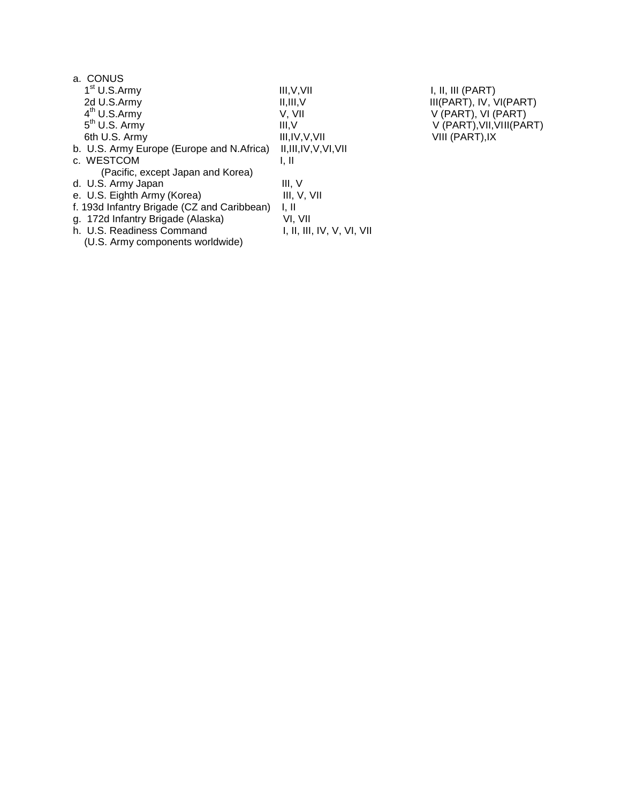| III, V, VII                | I, II, III (PART)         |
|----------------------------|---------------------------|
| II, III, V                 | III(PART), IV, VI(PART)   |
| V. VII                     | V (PART), VI (PART)       |
| III.V                      | V (PART), VII, VIII(PART) |
| III, IV, V, VII            | VIII (PART), IX           |
| II, III, IV, V, VI, VII    |                           |
| I. II                      |                           |
|                            |                           |
| III. V                     |                           |
| III, V, VII                |                           |
| 1, II                      |                           |
| VI, VII                    |                           |
| I, II, III, IV, V, VI, VII |                           |
|                            |                           |
|                            |                           |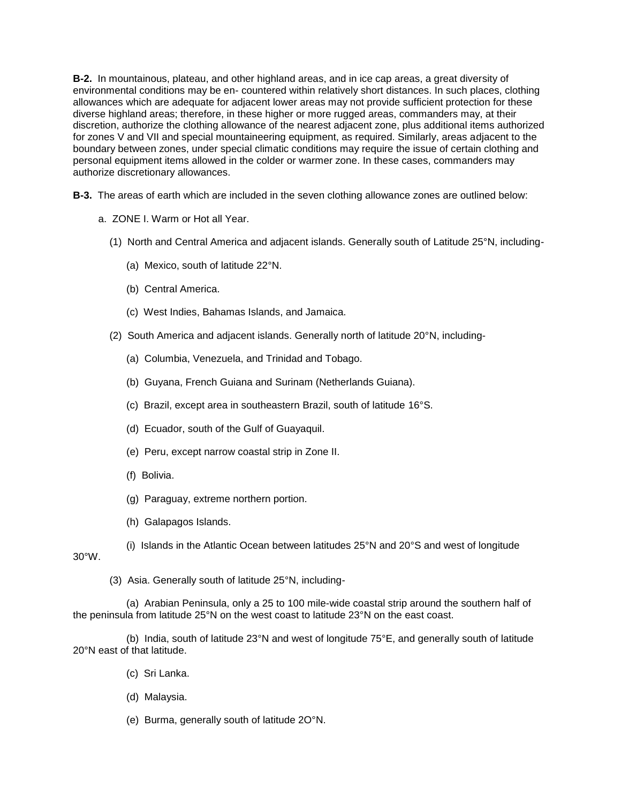**B-2.** In mountainous, plateau, and other highland areas, and in ice cap areas, a great diversity of environmental conditions may be en- countered within relatively short distances. In such places, clothing allowances which are adequate for adjacent lower areas may not provide sufficient protection for these diverse highland areas; therefore, in these higher or more rugged areas, commanders may, at their discretion, authorize the clothing allowance of the nearest adjacent zone, plus additional items authorized for zones V and VII and special mountaineering equipment, as required. Similarly, areas adjacent to the boundary between zones, under special climatic conditions may require the issue of certain clothing and personal equipment items allowed in the colder or warmer zone. In these cases, commanders may authorize discretionary allowances.

**B-3.** The areas of earth which are included in the seven clothing allowance zones are outlined below:

- a. ZONE I. Warm or Hot all Year.
	- (1) North and Central America and adjacent islands. Generally south of Latitude 25°N, including-
		- (a) Mexico, south of latitude 22°N.
		- (b) Central America.
		- (c) West Indies, Bahamas Islands, and Jamaica.
	- (2) South America and adjacent islands. Generally north of latitude 20°N, including-
		- (a) Columbia, Venezuela, and Trinidad and Tobago.
		- (b) Guyana, French Guiana and Surinam (Netherlands Guiana).
		- (c) Brazil, except area in southeastern Brazil, south of latitude 16°S.
		- (d) Ecuador, south of the Gulf of Guayaquil.
		- (e) Peru, except narrow coastal strip in Zone II.
		- (f) Bolivia.
		- (g) Paraguay, extreme northern portion.
		- (h) Galapagos Islands.
		- (i) Islands in the Atlantic Ocean between latitudes 25°N and 20°S and west of longitude

30°W.

(3) Asia. Generally south of latitude 25°N, including-

 (a) Arabian Peninsula, only a 25 to 100 mile-wide coastal strip around the southern half of the peninsula from latitude 25°N on the west coast to latitude 23°N on the east coast.

(b) India, south of latitude  $23^\circ N$  and west of longitude  $75^\circ E$ , and generally south of latitude 20°N east of that latitude.

- (c) Sri Lanka.
- (d) Malaysia.
- (e) Burma, generally south of latitude 2O°N.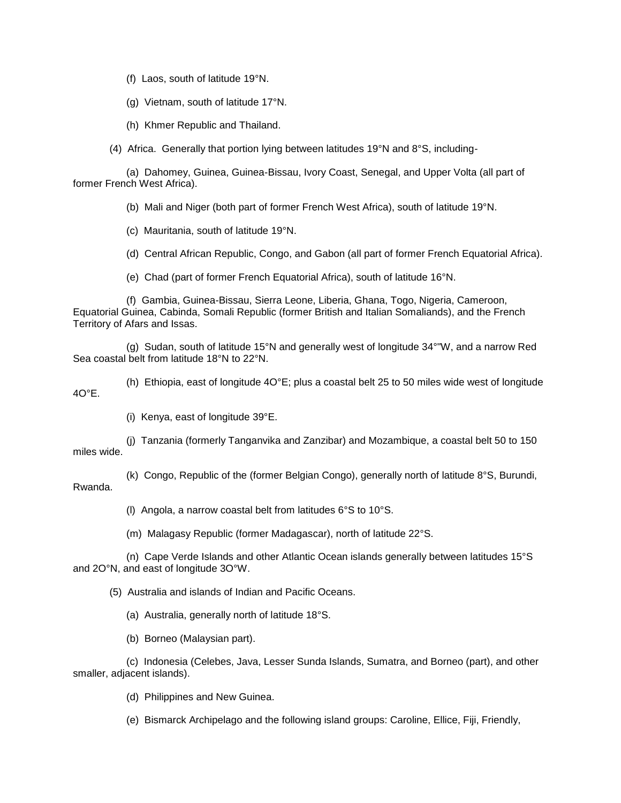(f) Laos, south of latitude 19°N.

(g) Vietnam, south of latitude 17°N.

(h) Khmer Republic and Thailand.

(4) Africa. Generally that portion lying between latitudes 19°N and 8°S, including-

 (a) Dahomey, Guinea, Guinea-Bissau, Ivory Coast, Senegal, and Upper Volta (all part of former French West Africa).

(b) Mali and Niger (both part of former French West Africa), south of latitude 19°N.

(c) Mauritania, south of latitude 19°N.

(d) Central African Republic, Congo, and Gabon (all part of former French Equatorial Africa).

(e) Chad (part of former French Equatorial Africa), south of latitude 16°N.

 (f) Gambia, Guinea-Bissau, Sierra Leone, Liberia, Ghana, Togo, Nigeria, Cameroon, Equatorial Guinea, Cabinda, Somali Republic (former British and Italian Somaliands), and the French Territory of Afars and Issas.

 (g) Sudan, south of latitude 15°N and generally west of longitude 34°"W, and a narrow Red Sea coastal belt from latitude 18°N to 22°N.

 (h) Ethiopia, east of longitude 4O°E; plus a coastal belt 25 to 50 miles wide west of longitude  $4O^{\circ}F$ 

(i) Kenya, east of longitude 39°E.

 (j) Tanzania (formerly Tanganvika and Zanzibar) and Mozambique, a coastal belt 50 to 150 miles wide.

 (k) Congo, Republic of the (former Belgian Congo), generally north of latitude 8°S, Burundi, Rwanda.

(l) Angola, a narrow coastal belt from latitudes 6°S to 10°S.

(m) Malagasy Republic (former Madagascar), north of latitude 22°S.

 (n) Cape Verde Islands and other Atlantic Ocean islands generally between latitudes 15°S and 2O°N, and east of longitude 3O°W.

(5) Australia and islands of Indian and Pacific Oceans.

(a) Australia, generally north of latitude 18°S.

(b) Borneo (Malaysian part).

 (c) Indonesia (Celebes, Java, Lesser Sunda Islands, Sumatra, and Borneo (part), and other smaller, adjacent islands).

(d) Philippines and New Guinea.

(e) Bismarck Archipelago and the following island groups: Caroline, Ellice, Fiji, Friendly,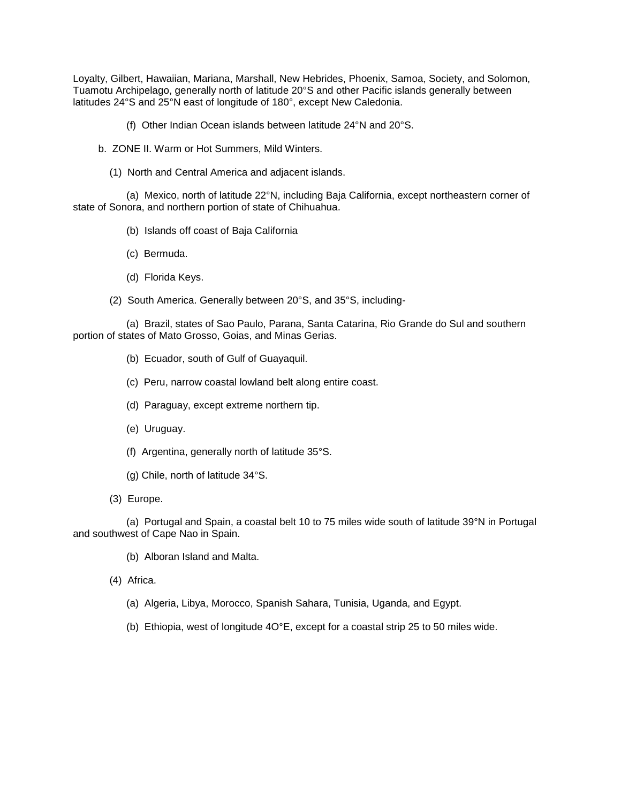Loyalty, Gilbert, Hawaiian, Mariana, Marshall, New Hebrides, Phoenix, Samoa, Society, and Solomon, Tuamotu Archipelago, generally north of latitude 20°S and other Pacific islands generally between latitudes 24°S and 25°N east of longitude of 180°, except New Caledonia.

- (f) Other Indian Ocean islands between latitude 24°N and 20°S.
- b. ZONE II. Warm or Hot Summers, Mild Winters.
	- (1) North and Central America and adjacent islands.

 (a) Mexico, north of latitude 22°N, including Baja California, except northeastern corner of state of Sonora, and northern portion of state of Chihuahua.

- (b) Islands off coast of Baja California
- (c) Bermuda.
- (d) Florida Keys.
- (2) South America. Generally between 20°S, and 35°S, including-

 (a) Brazil, states of Sao Paulo, Parana, Santa Catarina, Rio Grande do Sul and southern portion of states of Mato Grosso, Goias, and Minas Gerias.

- (b) Ecuador, south of Gulf of Guayaquil.
- (c) Peru, narrow coastal lowland belt along entire coast.
- (d) Paraguay, except extreme northern tip.
- (e) Uruguay.
- (f) Argentina, generally north of latitude 35°S.
- (g) Chile, north of latitude 34°S.
- (3) Europe.

 (a) Portugal and Spain, a coastal belt 10 to 75 miles wide south of latitude 39°N in Portugal and southwest of Cape Nao in Spain.

- (b) Alboran Island and Malta.
- (4) Africa.
	- (a) Algeria, Libya, Morocco, Spanish Sahara, Tunisia, Uganda, and Egypt.
	- (b) Ethiopia, west of longitude 4O°E, except for a coastal strip 25 to 50 miles wide.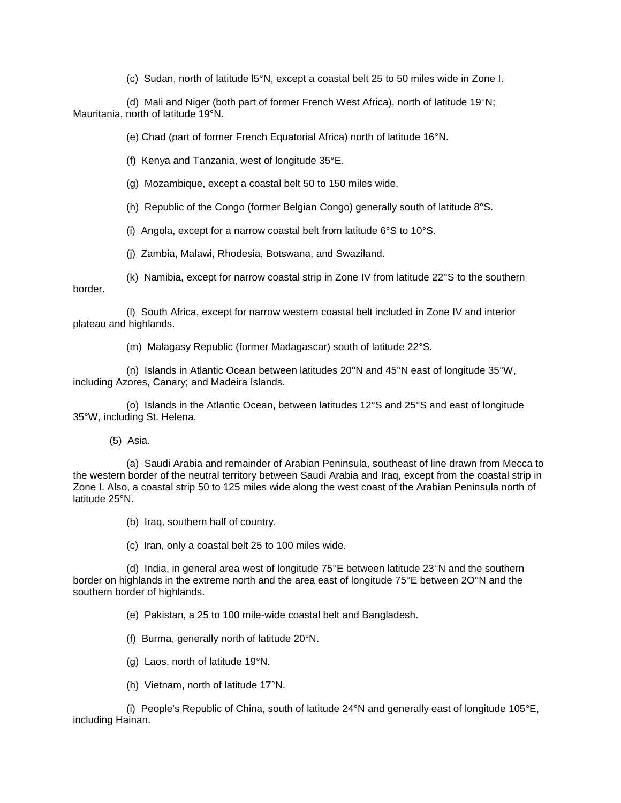(c) Sudan, north of latitude l5°N, except a coastal belt 25 to 50 miles wide in Zone I.

 (d) Mali and Niger (both part of former French West Africa), north of latitude 19°N; Mauritania, north of latitude 19°N.

(e) Chad (part of former French Equatorial Africa) north of latitude 16°N.

(f) Kenya and Tanzania, west of longitude 35°E.

(g) Mozambique, except a coastal belt 50 to 150 miles wide.

(h) Republic of the Congo (former Belgian Congo) generally south of latitude 8°S.

(i) Angola, except for a narrow coastal belt from latitude  $6^{\circ}$ S to 10 $^{\circ}$ S.

(j) Zambia, Malawi, Rhodesia, Botswana, and Swaziland.

 (k) Namibia, except for narrow coastal strip in Zone IV from latitude 22°S to the southern border.

 (l) South Africa, except for narrow western coastal belt included in Zone IV and interior plateau and highlands.

(m) Malagasy Republic (former Madagascar) south of latitude 22°S.

 (n) Islands in Atlantic Ocean between latitudes 20°N and 45°N east of longitude 35°W, including Azores, Canary; and Madeira Islands.

 (o) Islands in the Atlantic Ocean, between latitudes 12°S and 25°S and east of longitude 35°W, including St. Helena.

(5) Asia.

 (a) Saudi Arabia and remainder of Arabian Peninsula, southeast of line drawn from Mecca to the western border of the neutral territory between Saudi Arabia and Iraq, except from the coastal strip in Zone I. Also, a coastal strip 50 to 125 miles wide along the west coast of the Arabian Peninsula north of latitude 25°N.

(b) Iraq, southern half of country.

(c) Iran, only a coastal belt 25 to 100 miles wide.

 (d) India, in general area west of longitude 75°E between latitude 23°N and the southern border on highlands in the extreme north and the area east of longitude 75°E between 2O°N and the southern border of highlands.

(e) Pakistan, a 25 to 100 mile-wide coastal belt and Bangladesh.

(f) Burma, generally north of latitude 20°N.

(g) Laos, north of latitude 19°N.

(h) Vietnam, north of latitude 17°N.

(i) People's Republic of China, south of latitude  $24^{\circ}$ N and generally east of longitude 105 $^{\circ}$ E, including Hainan.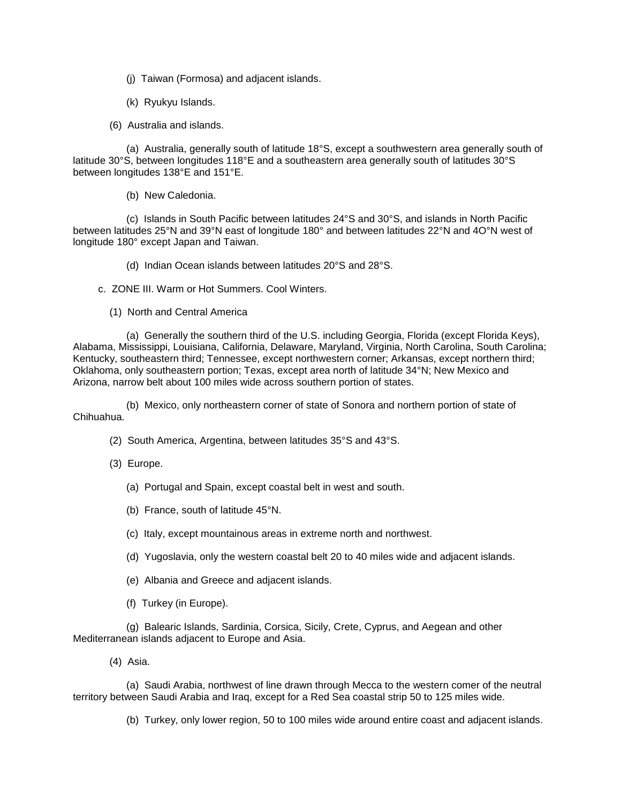- (j) Taiwan (Formosa) and adjacent islands.
- (k) Ryukyu Islands.
- (6) Australia and islands.

 (a) Australia, generally south of latitude 18°S, except a southwestern area generally south of latitude 30°S, between longitudes 118°E and a southeastern area generally south of latitudes 30°S between longitudes 138°E and 151°E.

(b) New Caledonia.

 (c) Islands in South Pacific between latitudes 24°S and 30°S, and islands in North Pacific between latitudes 25°N and 39°N east of longitude 180° and between latitudes 22°N and 4O°N west of longitude 180° except Japan and Taiwan.

- (d) Indian Ocean islands between latitudes 20°S and 28°S.
- c. ZONE III. Warm or Hot Summers. Cool Winters.
	- (1) North and Central America

 (a) Generally the southern third of the U.S. including Georgia, Florida (except Florida Keys), Alabama, Mississippi, Louisiana, California, Delaware, Maryland, Virginia, North Carolina, South Carolina; Kentucky, southeastern third; Tennessee, except northwestern corner; Arkansas, except northern third; Oklahoma, only southeastern portion; Texas, except area north of latitude 34°N; New Mexico and Arizona, narrow belt about 100 miles wide across southern portion of states.

 (b) Mexico, only northeastern corner of state of Sonora and northern portion of state of Chihuahua.

- (2) South America, Argentina, between latitudes 35°S and 43°S.
- (3) Europe.
	- (a) Portugal and Spain, except coastal belt in west and south.
	- (b) France, south of latitude 45°N.
	- (c) Italy, except mountainous areas in extreme north and northwest.
	- (d) Yugoslavia, only the western coastal belt 20 to 40 miles wide and adjacent islands.
	- (e) Albania and Greece and adjacent islands.
	- (f) Turkey (in Europe).

 (g) Balearic Islands, Sardinia, Corsica, Sicily, Crete, Cyprus, and Aegean and other Mediterranean islands adjacent to Europe and Asia.

(4) Asia.

 (a) Saudi Arabia, northwest of line drawn through Mecca to the western comer of the neutral territory between Saudi Arabia and Iraq, except for a Red Sea coastal strip 50 to 125 miles wide.

(b) Turkey, only lower region, 50 to 100 miles wide around entire coast and adjacent islands.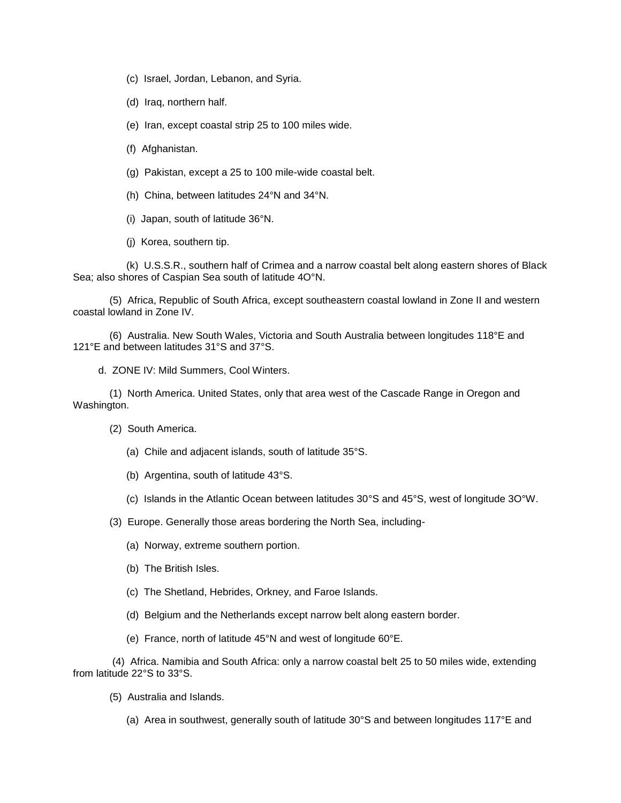- (c) Israel, Jordan, Lebanon, and Syria.
- (d) Iraq, northern half.
- (e) Iran, except coastal strip 25 to 100 miles wide.
- (f) Afghanistan.
- (g) Pakistan, except a 25 to 100 mile-wide coastal belt.
- (h) China, between latitudes 24°N and 34°N.
- (i) Japan, south of latitude 36°N.
- (j) Korea, southern tip.

 (k) U.S.S.R., southern half of Crimea and a narrow coastal belt along eastern shores of Black Sea; also shores of Caspian Sea south of latitude 4O°N.

 (5) Africa, Republic of South Africa, except southeastern coastal lowland in Zone II and western coastal lowland in Zone IV.

 (6) Australia. New South Wales, Victoria and South Australia between longitudes 118°E and 121°E and between latitudes 31°S and 37°S.

d. ZONE IV: Mild Summers, Cool Winters.

 (1) North America. United States, only that area west of the Cascade Range in Oregon and Washington.

- (2) South America.
	- (a) Chile and adjacent islands, south of latitude 35°S.
	- (b) Argentina, south of latitude 43°S.
	- (c) Islands in the Atlantic Ocean between latitudes 30°S and 45°S, west of longitude 3O°W.
- (3) Europe. Generally those areas bordering the North Sea, including-
	- (a) Norway, extreme southern portion.
	- (b) The British Isles.
	- (c) The Shetland, Hebrides, Orkney, and Faroe Islands.
	- (d) Belgium and the Netherlands except narrow belt along eastern border.
	- (e) France, north of latitude 45°N and west of longitude 60°E.

 (4) Africa. Namibia and South Africa: only a narrow coastal belt 25 to 50 miles wide, extending from latitude 22°S to 33°S.

- (5) Australia and Islands.
	- (a) Area in southwest, generally south of latitude 30°S and between longitudes 117°E and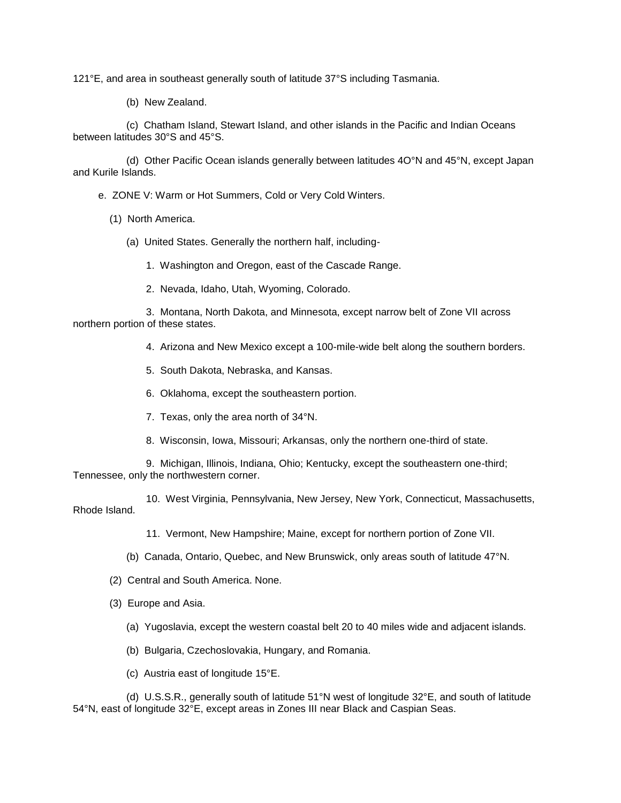121°E, and area in southeast generally south of latitude 37°S including Tasmania.

(b) New Zealand.

 (c) Chatham Island, Stewart Island, and other islands in the Pacific and Indian Oceans between latitudes 30°S and 45°S.

 (d) Other Pacific Ocean islands generally between latitudes 4O°N and 45°N, except Japan and Kurile Islands.

e. ZONE V: Warm or Hot Summers, Cold or Very Cold Winters.

- (1) North America.
	- (a) United States. Generally the northern half, including-
		- 1. Washington and Oregon, east of the Cascade Range.
		- 2. Nevada, Idaho, Utah, Wyoming, Colorado.

 3. Montana, North Dakota, and Minnesota, except narrow belt of Zone VII across northern portion of these states.

- 4. Arizona and New Mexico except a 100-mile-wide belt along the southern borders.
- 5. South Dakota, Nebraska, and Kansas.
- 6. Oklahoma, except the southeastern portion.
- 7. Texas, only the area north of 34°N.
- 8. Wisconsin, Iowa, Missouri; Arkansas, only the northern one-third of state.

 9. Michigan, Illinois, Indiana, Ohio; Kentucky, except the southeastern one-third; Tennessee, only the northwestern corner.

 10. West Virginia, Pennsylvania, New Jersey, New York, Connecticut, Massachusetts, Rhode Island.

11. Vermont, New Hampshire; Maine, except for northern portion of Zone VII.

- (b) Canada, Ontario, Quebec, and New Brunswick, only areas south of latitude 47°N.
- (2) Central and South America. None.
- (3) Europe and Asia.
	- (a) Yugoslavia, except the western coastal belt 20 to 40 miles wide and adjacent islands.
	- (b) Bulgaria, Czechoslovakia, Hungary, and Romania.
	- (c) Austria east of longitude 15°E.

 (d) U.S.S.R., generally south of latitude 51°N west of longitude 32°E, and south of latitude 54°N, east of longitude 32°E, except areas in Zones III near Black and Caspian Seas.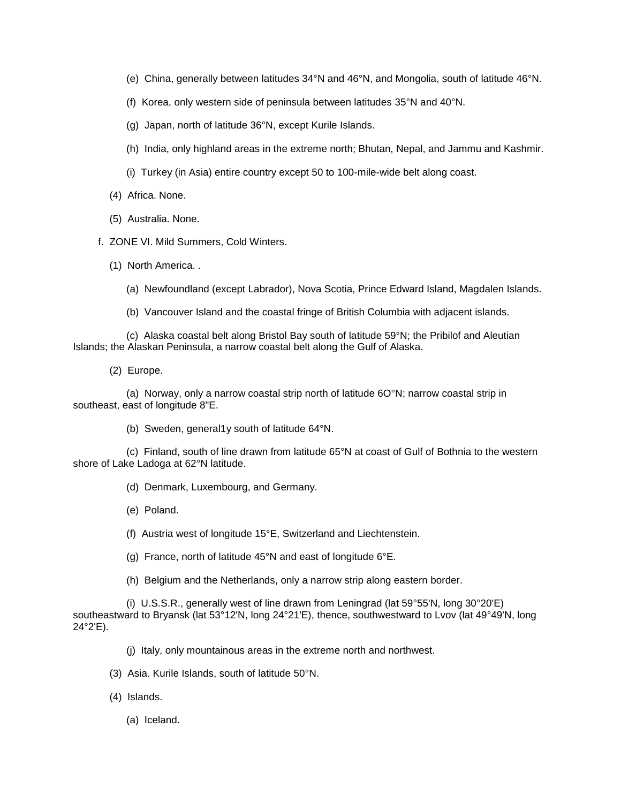- (e) China, generally between latitudes 34°N and 46°N, and Mongolia, south of latitude 46°N.
- (f) Korea, only western side of peninsula between latitudes 35°N and 40°N.
- (g) Japan, north of latitude 36°N, except Kurile Islands.
- (h) India, only highland areas in the extreme north; Bhutan, Nepal, and Jammu and Kashmir.
- (i) Turkey (in Asia) entire country except 50 to 100-mile-wide belt along coast.
- (4) Africa. None.
- (5) Australia. None.
- f. ZONE VI. Mild Summers, Cold Winters.
	- (1) North America. .
		- (a) Newfoundland (except Labrador), Nova Scotia, Prince Edward Island, Magdalen Islands.
		- (b) Vancouver Island and the coastal fringe of British Columbia with adjacent islands.

 (c) Alaska coastal belt along Bristol Bay south of latitude 59°N; the Pribilof and Aleutian Islands; the Alaskan Peninsula, a narrow coastal belt along the Gulf of Alaska.

(2) Europe.

 (a) Norway, only a narrow coastal strip north of latitude 6O°N; narrow coastal strip in southeast, east of longitude 8"E.

(b) Sweden, general1y south of latitude 64°N.

 (c) Finland, south of line drawn from latitude 65°N at coast of Gulf of Bothnia to the western shore of Lake Ladoga at 62°N latitude.

- (d) Denmark, Luxembourg, and Germany.
- (e) Poland.
- (f) Austria west of longitude 15°E, Switzerland and Liechtenstein.
- (g) France, north of latitude 45°N and east of longitude 6°E.
- (h) Belgium and the Netherlands, only a narrow strip along eastern border.

 (i) U.S.S.R., generally west of line drawn from Leningrad (lat 59°55'N, long 30°20'E) southeastward to Bryansk (lat 53°12'N, long 24°21'E), thence, southwestward to Lvov (lat 49°49'N, long 24°2'E).

- (j) Italy, only mountainous areas in the extreme north and northwest.
- (3) Asia. Kurile Islands, south of latitude 50°N.
- (4) Islands.
	- (a) Iceland.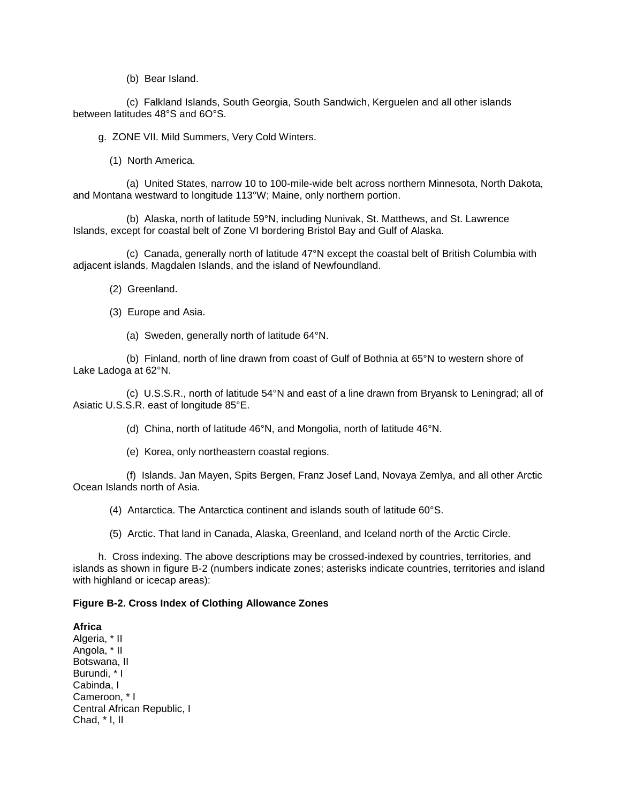(b) Bear Island.

 (c) Falkland Islands, South Georgia, South Sandwich, Kerguelen and all other islands between latitudes 48°S and 6O°S.

g. ZONE VII. Mild Summers, Very Cold Winters.

(1) North America.

 (a) United States, narrow 10 to 100-mile-wide belt across northern Minnesota, North Dakota, and Montana westward to longitude 113°W; Maine, only northern portion.

 (b) Alaska, north of latitude 59°N, including Nunivak, St. Matthews, and St. Lawrence Islands, except for coastal belt of Zone VI bordering Bristol Bay and Gulf of Alaska.

 (c) Canada, generally north of latitude 47°N except the coastal belt of British Columbia with adjacent islands, Magdalen Islands, and the island of Newfoundland.

(2) Greenland.

(3) Europe and Asia.

(a) Sweden, generally north of latitude 64°N.

 (b) Finland, north of line drawn from coast of Gulf of Bothnia at 65°N to western shore of Lake Ladoga at 62°N.

 (c) U.S.S.R., north of latitude 54°N and east of a line drawn from Bryansk to Leningrad; all of Asiatic U.S.S.R. east of longitude 85°E.

(d) China, north of latitude 46°N, and Mongolia, north of latitude 46°N.

(e) Korea, only northeastern coastal regions.

 (f) Islands. Jan Mayen, Spits Bergen, Franz Josef Land, Novaya Zemlya, and all other Arctic Ocean Islands north of Asia.

(4) Antarctica. The Antarctica continent and islands south of latitude 60°S.

(5) Arctic. That land in Canada, Alaska, Greenland, and Iceland north of the Arctic Circle.

 h. Cross indexing. The above descriptions may be crossed-indexed by countries, territories, and islands as shown in figure B-2 (numbers indicate zones; asterisks indicate countries, territories and island with highland or icecap areas):

#### **Figure B-2. Cross Index of Clothing Allowance Zones**

**Africa**  Algeria, \* II Angola, \* II Botswana, II Burundi, \* I Cabinda, I Cameroon, \* I Central African Republic, I Chad, \* I, II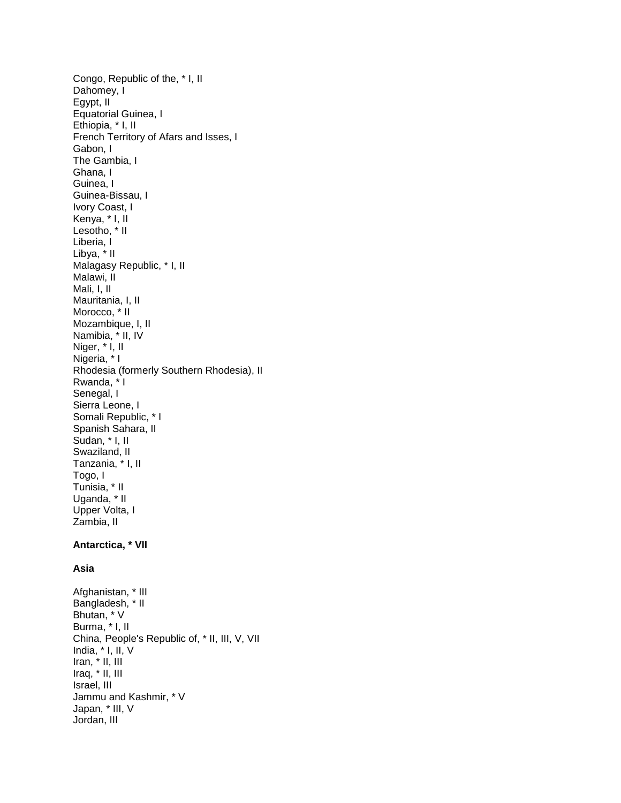Congo, Republic of the, \* I, II Dahomey, I Egypt, II Equatorial Guinea, I Ethiopia, \* I, II French Territory of Afars and Isses, I Gabon, I The Gambia, I Ghana, I Guinea, I Guinea-Bissau, I Ivory Coast, I Kenya, \* I, II Lesotho, \* II Liberia, I Libya, \* II Malagasy Republic, \* I, II Malawi, II Mali, I, II Mauritania, I, II Morocco, \* II Mozambique, I, II Namibia, \* II, IV Niger,  $*$  I, II Nigeria, \* I Rhodesia (formerly Southern Rhodesia), II Rwanda, \* I Senegal, I Sierra Leone, I Somali Republic, \* I Spanish Sahara, II Sudan, \* I, II Swaziland, II Tanzania, \* I, II Togo, I Tunisia, \* II Uganda, \* II Upper Volta, I Zambia, II **Antarctica, \* VII** 

# **Asia**

Afghanistan, \* III Bangladesh, \* II Bhutan, \* V Burma, \* I, II China, People's Republic of, \* II, III, V, VII India, \* I, II, V Iran, \* II, III Iraq, \* II, III Israel, III Jammu and Kashmir, \* V Japan, \* III, V Jordan, III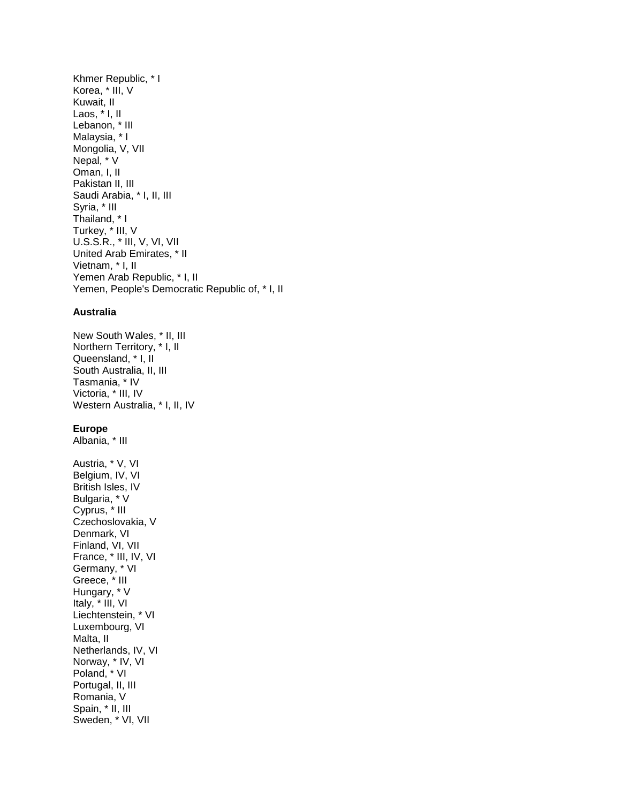Khmer Republic, \* I Korea, \* III, V Kuwait, II Laos, \* I, II Lebanon, \* III Malaysia, \* I Mongolia, V, VII Nepal, \* V Oman, I, II Pakistan II, III Saudi Arabia, \* I, II, III Syria, \* III Thailand, \* I Turkey, \* III, V U.S.S.R., \* III, V, VI, VII United Arab Emirates, \* II Vietnam, \* I, II Yemen Arab Republic, \* I, II Yemen, People's Democratic Republic of, \* I, II

#### **Australia**

New South Wales, \* II, III Northern Territory, \* I, II Queensland, \* I, II South Australia, II, III Tasmania, \* IV Victoria, \* III, IV Western Australia, \* I, II, IV

#### **Europe**

Albania, \* III

Austria, \* V, VI Belgium, IV, VI British Isles, IV Bulgaria, \* V Cyprus, \* III Czechoslovakia, V Denmark, VI Finland, VI, VII France, \* III, IV, VI Germany, \* VI Greece, \* III Hungary, \* V Italy, \* III, VI Liechtenstein, \* VI Luxembourg, VI Malta, II Netherlands, IV, VI Norway, \* IV, VI Poland, \* VI Portugal, II, III Romania, V Spain, \* II, III Sweden, \* VI, VII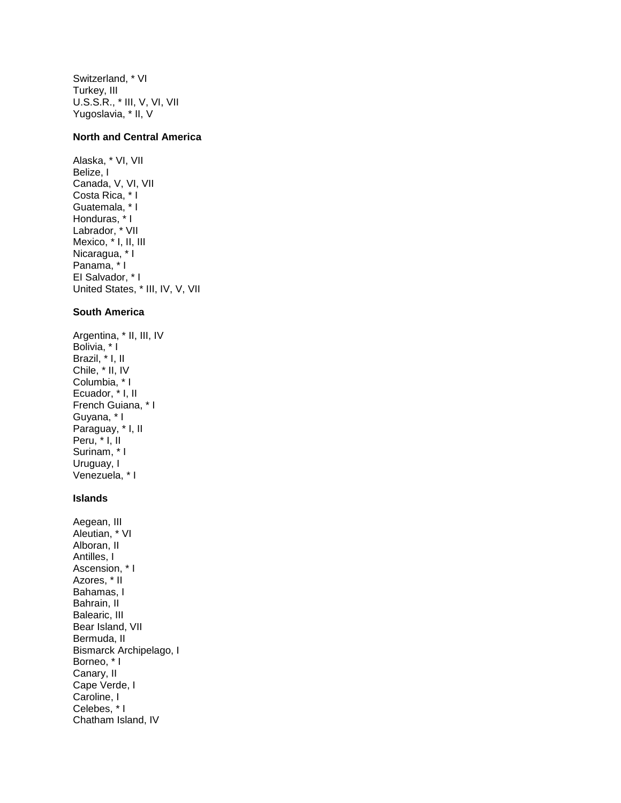Switzerland, \* VI Turkey, III U.S.S.R., \* III, V, VI, VII Yugoslavia, \* II, V

#### **North and Central America**

Alaska, \* VI, VII Belize, I Canada, V, VI, VII Costa Rica, \* I Guatemala, \* I Honduras, \* I Labrador, \* VII Mexico, \* I, II, III Nicaragua, \* I Panama, \* I EI Salvador, \* I United States, \* III, IV, V, VII

### **South America**

Argentina, \* II, III, IV Bolivia, \* I Brazil, \* I, II Chile, \* II, IV Columbia, \* I Ecuador, \* I, II French Guiana, \* I Guyana, \* I Paraguay, \* I, II Peru, \* I, II Surinam, \* I Uruguay, I Venezuela, \* I

#### **Islands**

Aegean, III Aleutian, \* VI Alboran, II Antilles, I Ascension, \* I Azores, \* II Bahamas, I Bahrain, II Balearic, III Bear Island, VII Bermuda, II Bismarck Archipelago, I Borneo, \* I Canary, II Cape Verde, I Caroline, I Celebes, \* I Chatham Island, IV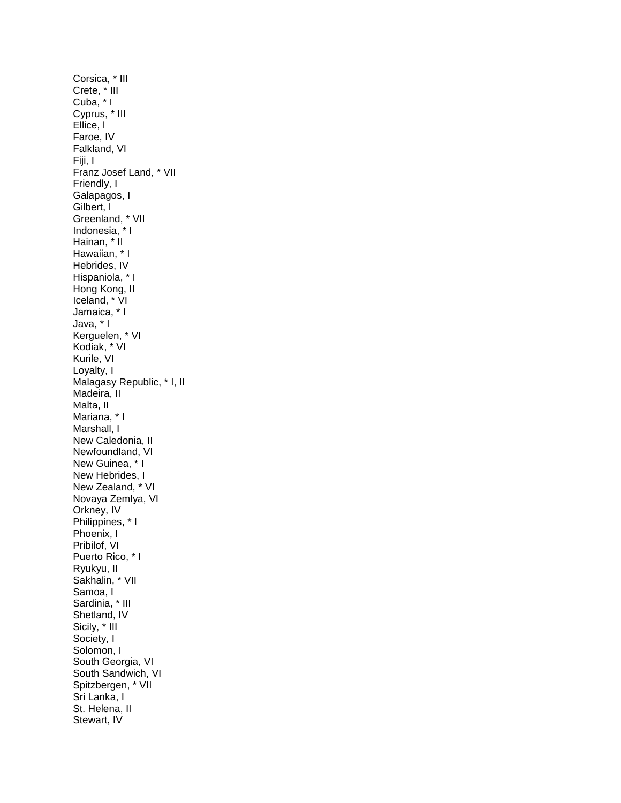Corsica, \* III Crete, \* III Cuba, \* I Cyprus, \* III Ellice, l Faroe, IV Falkland, VI Fiji, I Franz Josef Land, \* VII Friendly, I Galapagos, I Gilbert, I Greenland, \* VII Indonesia, \* I Hainan, \* II Hawaiian, \* I Hebrides, IV Hispaniola, \* I Hong Kong, II Iceland, \* VI Jamaica, \* I Java, \* I Kerguelen, \* VI Kodiak, \* VI Kurile, VI Loyalty, I Malagasy Republic, \* I, II Madeira, II Malta, II Mariana, \* I Marshall, I New Caledonia, II Newfoundland, VI New Guinea, \* I New Hebrides, I New Zealand, \* VI Novaya Zemlya, VI Orkney, IV Philippines, \* I Phoenix, I Pribilof, VI Puerto Rico, \* I Ryukyu, II Sakhalin, \* VII Samoa, I Sardinia, \* III Shetland, IV Sicily, \* III Society, I Solomon, I South Georgia, VI South Sandwich, VI Spitzbergen, \* VII Sri Lanka, I St. Helena, II Stewart, IV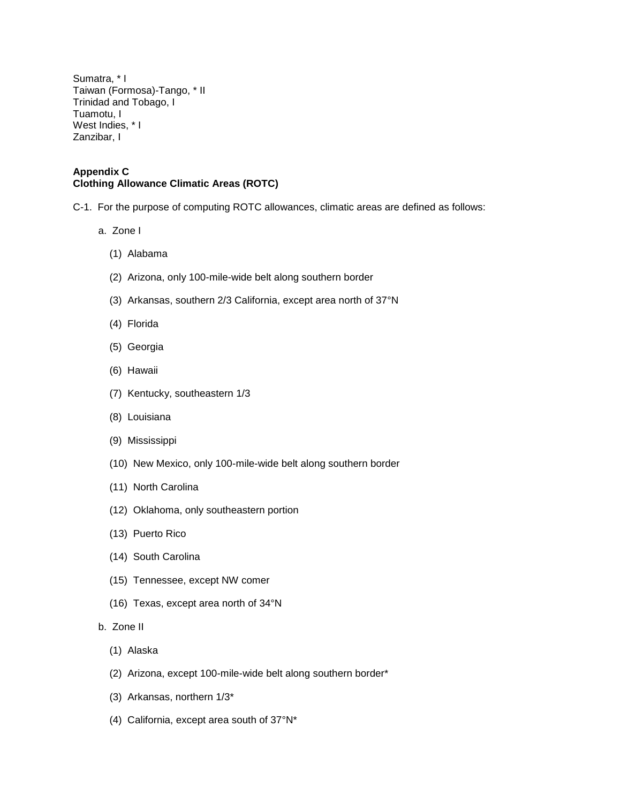Sumatra, \* I Taiwan (Formosa)-Tango, \* II Trinidad and Tobago, I Tuamotu, I West Indies, \* I Zanzibar, I

#### **Appendix C Clothing Allowance Climatic Areas (ROTC)**

- C-1. For the purpose of computing ROTC allowances, climatic areas are defined as follows:
	- a. Zone I
		- (1) Alabama
		- (2) Arizona, only 100-mile-wide belt along southern border
		- (3) Arkansas, southern 2/3 California, except area north of 37°N
		- (4) Florida
		- (5) Georgia
		- (6) Hawaii
		- (7) Kentucky, southeastern 1/3
		- (8) Louisiana
		- (9) Mississippi
		- (10) New Mexico, only 100-mile-wide belt along southern border
		- (11) North Carolina
		- (12) Oklahoma, only southeastern portion
		- (13) Puerto Rico
		- (14) South Carolina
		- (15) Tennessee, except NW comer
		- (16) Texas, except area north of 34°N
	- b. Zone II
		- (1) Alaska
		- (2) Arizona, except 100-mile-wide belt along southern border\*
		- (3) Arkansas, northern 1/3\*
		- (4) California, except area south of 37°N\*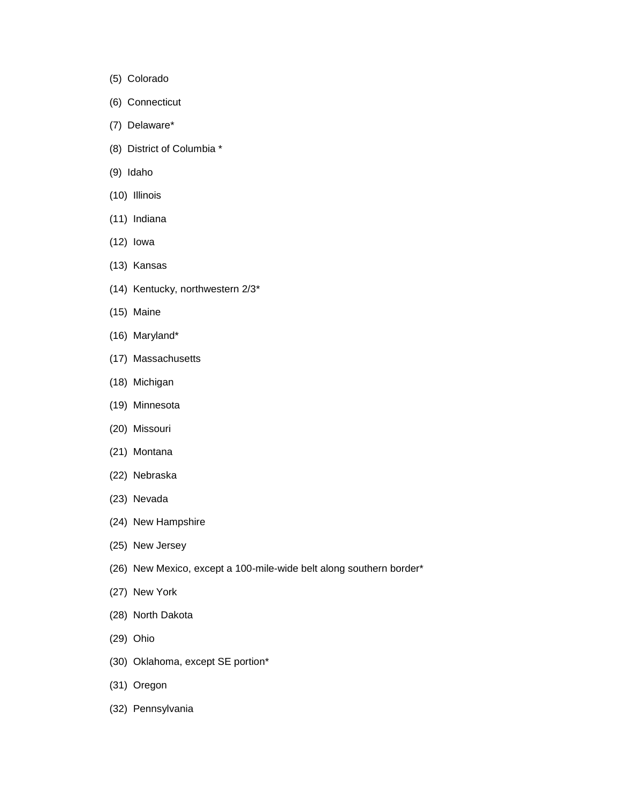- (5) Colorado
- (6) Connecticut
- (7) Delaware\*
- (8) District of Columbia \*
- (9) Idaho
- (10) Illinois
- (11) Indiana
- (12) Iowa
- (13) Kansas
- (14) Kentucky, northwestern 2/3\*
- (15) Maine
- (16) Maryland\*
- (17) Massachusetts
- (18) Michigan
- (19) Minnesota
- (20) Missouri
- (21) Montana
- (22) Nebraska
- (23) Nevada
- (24) New Hampshire
- (25) New Jersey
- (26) New Mexico, except a 100-mile-wide belt along southern border\*
- (27) New York
- (28) North Dakota
- (29) Ohio
- (30) Oklahoma, except SE portion\*
- (31) Oregon
- (32) Pennsylvania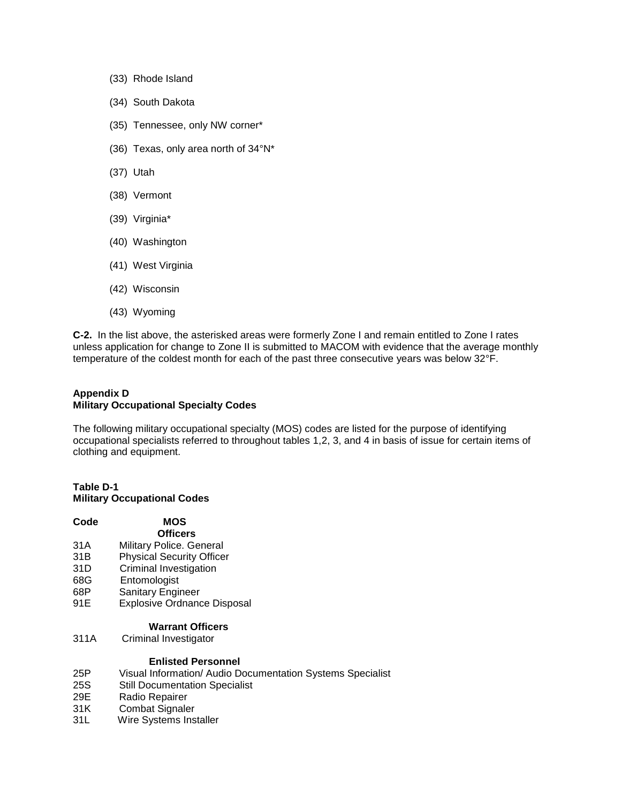- (33) Rhode Island
- (34) South Dakota
- (35) Tennessee, only NW corner\*
- (36) Texas, only area north of 34°N\*
- (37) Utah
- (38) Vermont
- (39) Virginia\*
- (40) Washington
- (41) West Virginia
- (42) Wisconsin
- (43) Wyoming

**C-2.** In the list above, the asterisked areas were formerly Zone I and remain entitled to Zone I rates unless application for change to Zone II is submitted to MACOM with evidence that the average monthly temperature of the coldest month for each of the past three consecutive years was below 32°F.

## **Appendix D Military Occupational Specialty Codes**

The following military occupational specialty (MOS) codes are listed for the purpose of identifying occupational specialists referred to throughout tables 1,2, 3, and 4 in basis of issue for certain items of clothing and equipment.

#### **Table D-1 Military Occupational Codes**

| Code | <b>MOS</b>                                                 |
|------|------------------------------------------------------------|
|      | <b>Officers</b>                                            |
| 31A  | Military Police. General                                   |
| 31B  | <b>Physical Security Officer</b>                           |
| 31D  | Criminal Investigation                                     |
| 68G  | Entomologist                                               |
| 68P  | <b>Sanitary Engineer</b>                                   |
| 91E  | <b>Explosive Ordnance Disposal</b>                         |
|      | Warrant Officers                                           |
| 311A | Criminal Investigator                                      |
|      | <b>Enlisted Personnel</b>                                  |
| 25P  | Visual Information/ Audio Documentation Systems Specialist |
| 25S  | <b>Still Documentation Specialist</b>                      |
| 29E  | Radio Repairer                                             |
| 31K  | <b>Combat Signaler</b>                                     |
| 31L  | Wire Systems Installer                                     |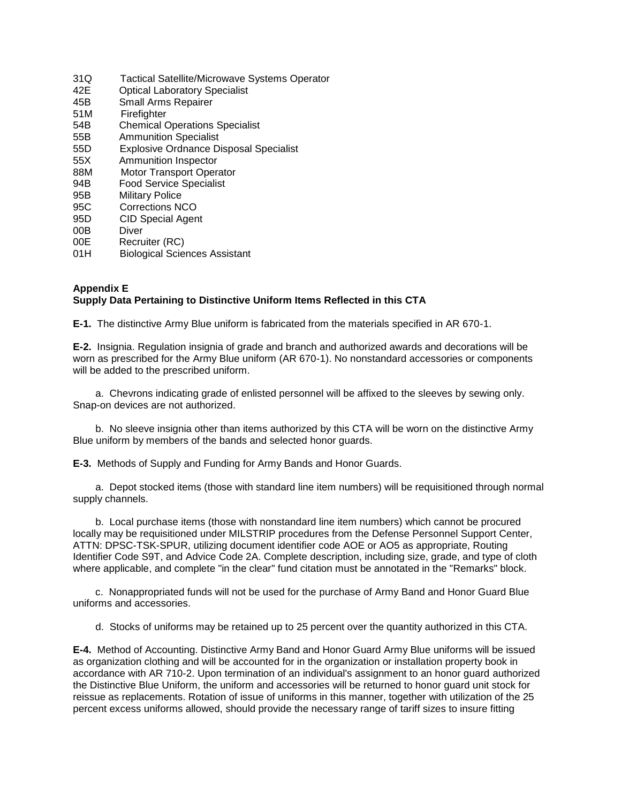31Q Tactical Satellite/Microwave Systems Operator 42E Optical Laboratory Specialist 45B Small Arms Repairer 51M Firefighter 54B Chemical Operations Specialist 55B Ammunition Specialist 55D Explosive Ordnance Disposal Specialist 55X Ammunition Inspector 88M Motor Transport Operator 94B Food Service Specialist 95B Military Police 95C Corrections NCO 95D CID Special Agent 00B Diver 00E Recruiter (RC) 01H Biological Sciences Assistant

### **Appendix E Supply Data Pertaining to Distinctive Uniform Items Reflected in this CTA**

**E-1.** The distinctive Army Blue uniform is fabricated from the materials specified in AR 670-1.

**E-2.** Insignia. Regulation insignia of grade and branch and authorized awards and decorations will be worn as prescribed for the Army Blue uniform (AR 670-1). No nonstandard accessories or components will be added to the prescribed uniform.

 a. Chevrons indicating grade of enlisted personnel will be affixed to the sleeves by sewing only. Snap-on devices are not authorized.

 b. No sleeve insignia other than items authorized by this CTA will be worn on the distinctive Army Blue uniform by members of the bands and selected honor guards.

**E-3.** Methods of Supply and Funding for Army Bands and Honor Guards.

 a. Depot stocked items (those with standard line item numbers) will be requisitioned through normal supply channels.

 b. Local purchase items (those with nonstandard line item numbers) which cannot be procured locally may be requisitioned under MILSTRIP procedures from the Defense Personnel Support Center, ATTN: DPSC-TSK-SPUR, utilizing document identifier code AOE or AO5 as appropriate, Routing Identifier Code S9T, and Advice Code 2A. Complete description, including size, grade, and type of cloth where applicable, and complete "in the clear" fund citation must be annotated in the "Remarks" block.

 c. Nonappropriated funds will not be used for the purchase of Army Band and Honor Guard Blue uniforms and accessories.

d. Stocks of uniforms may be retained up to 25 percent over the quantity authorized in this CTA.

**E-4.** Method of Accounting. Distinctive Army Band and Honor Guard Army Blue uniforms will be issued as organization clothing and will be accounted for in the organization or installation property book in accordance with AR 710-2. Upon termination of an individual's assignment to an honor guard authorized the Distinctive Blue Uniform, the uniform and accessories will be returned to honor guard unit stock for reissue as replacements. Rotation of issue of uniforms in this manner, together with utilization of the 25 percent excess uniforms allowed, should provide the necessary range of tariff sizes to insure fitting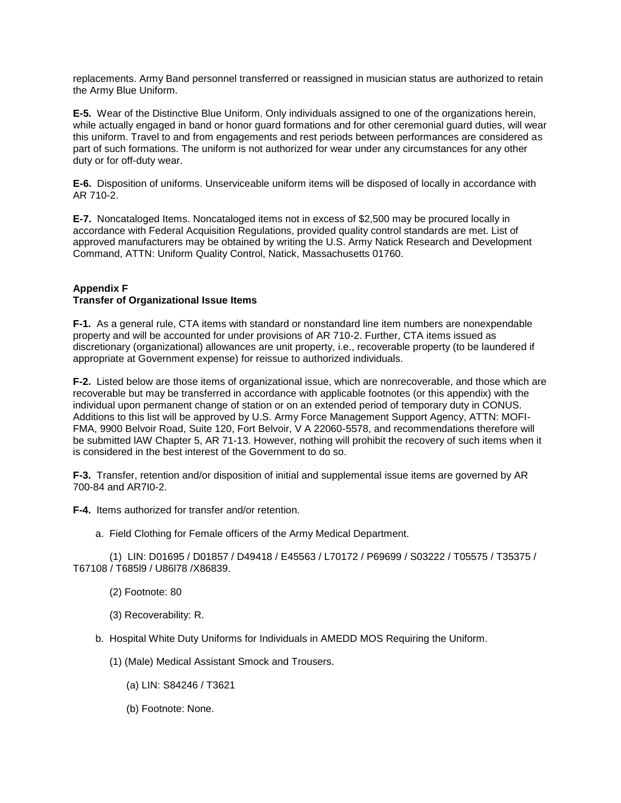replacements. Army Band personnel transferred or reassigned in musician status are authorized to retain the Army Blue Uniform.

**E-5.** Wear of the Distinctive Blue Uniform. Only individuals assigned to one of the organizations herein, while actually engaged in band or honor guard formations and for other ceremonial guard duties, will wear this uniform. Travel to and from engagements and rest periods between performances are considered as part of such formations. The uniform is not authorized for wear under any circumstances for any other duty or for off-duty wear.

**E-6.** Disposition of uniforms. Unserviceable uniform items will be disposed of locally in accordance with AR 710-2.

**E-7.** Noncataloged Items. Noncataloged items not in excess of \$2,500 may be procured locally in accordance with Federal Acquisition Regulations, provided quality control standards are met. List of approved manufacturers may be obtained by writing the U.S. Army Natick Research and Development Command, ATTN: Uniform Quality Control, Natick, Massachusetts 01760.

## **Appendix F Transfer of Organizational Issue Items**

**F-1.** As a general rule, CTA items with standard or nonstandard line item numbers are nonexpendable property and will be accounted for under provisions of AR 710-2. Further, CTA items issued as discretionary (organizational) allowances are unit property, i.e., recoverable property (to be laundered if appropriate at Government expense) for reissue to authorized individuals.

**F-2.** Listed below are those items of organizational issue, which are nonrecoverable, and those which are recoverable but may be transferred in accordance with applicable footnotes (or this appendix) with the individual upon permanent change of station or on an extended period of temporary duty in CONUS. Additions to this list will be approved by U.S. Army Force Management Support Agency, ATTN: MOFI-FMA, 9900 Belvoir Road, Suite 120, Fort Belvoir, V A 22060-5578, and recommendations therefore will be submitted lAW Chapter 5, AR 71-13. However, nothing will prohibit the recovery of such items when it is considered in the best interest of the Government to do so.

**F-3.** Transfer, retention and/or disposition of initial and supplemental issue items are governed by AR 700-84 and AR7I0-2.

**F-4.** Items authorized for transfer and/or retention.

a. Field Clothing for Female officers of the Army Medical Department.

 (1) LIN: D01695 / D01857 / D49418 / E45563 / L70172 / P69699 / S03222 / T05575 / T35375 / T67108 / T685l9 / U86l78 /X86839.

- (2) Footnote: 80
- (3) Recoverability: R.
- b. Hospital White Duty Uniforms for Individuals in AMEDD MOS Requiring the Uniform.
	- (1) (Male) Medical Assistant Smock and Trousers.
		- (a) LIN: S84246 / T3621
		- (b) Footnote: None.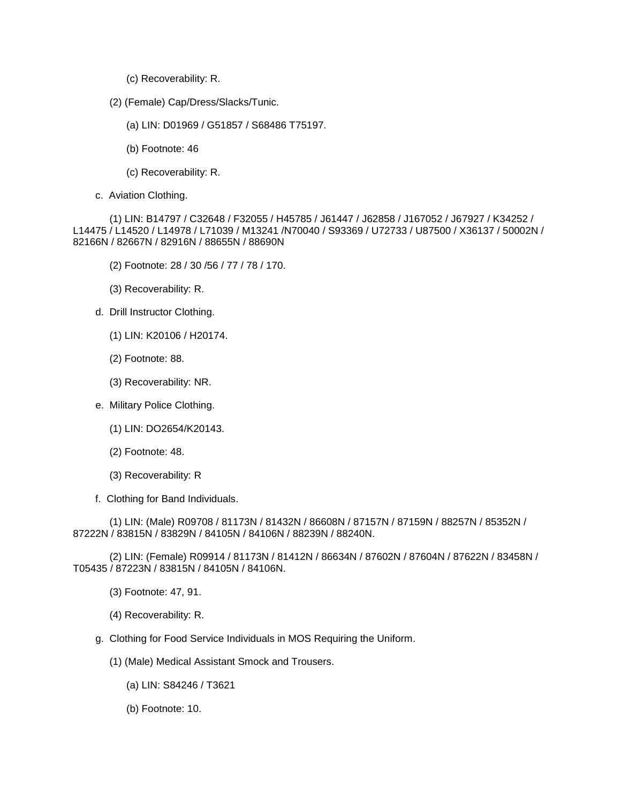- (c) Recoverability: R.
- (2) (Female) Cap/Dress/Slacks/Tunic.
	- (a) LIN: D01969 / G51857 / S68486 T75197.
	- (b) Footnote: 46
	- (c) Recoverability: R.
- c. Aviation Clothing.

 (1) LIN: B14797 / C32648 / F32055 / H45785 / J61447 / J62858 / J167052 / J67927 / K34252 / L14475 / L14520 / L14978 / L71039 / M13241 /N70040 / S93369 / U72733 / U87500 / X36137 / 50002N / 82166N / 82667N / 82916N / 88655N / 88690N

- (2) Footnote: 28 / 30 /56 / 77 / 78 / 170.
- (3) Recoverability: R.
- d. Drill Instructor Clothing.
	- (1) LIN: K20106 / H20174.
	- (2) Footnote: 88.
	- (3) Recoverability: NR.
- e. Military Police Clothing.
	- (1) LIN: DO2654/K20143.
	- (2) Footnote: 48.
	- (3) Recoverability: R
- f. Clothing for Band Individuals.

 (1) LIN: (Male) R09708 / 81173N / 81432N / 86608N / 87157N / 87159N / 88257N / 85352N / 87222N / 83815N / 83829N / 84105N / 84106N / 88239N / 88240N.

 (2) LIN: (Female) R09914 / 81173N / 81412N / 86634N / 87602N / 87604N / 87622N / 83458N / T05435 / 87223N / 83815N / 84105N / 84106N.

- (3) Footnote: 47, 91.
- (4) Recoverability: R.
- g. Clothing for Food Service Individuals in MOS Requiring the Uniform.
	- (1) (Male) Medical Assistant Smock and Trousers.
		- (a) LIN: S84246 / T3621
		- (b) Footnote: 10.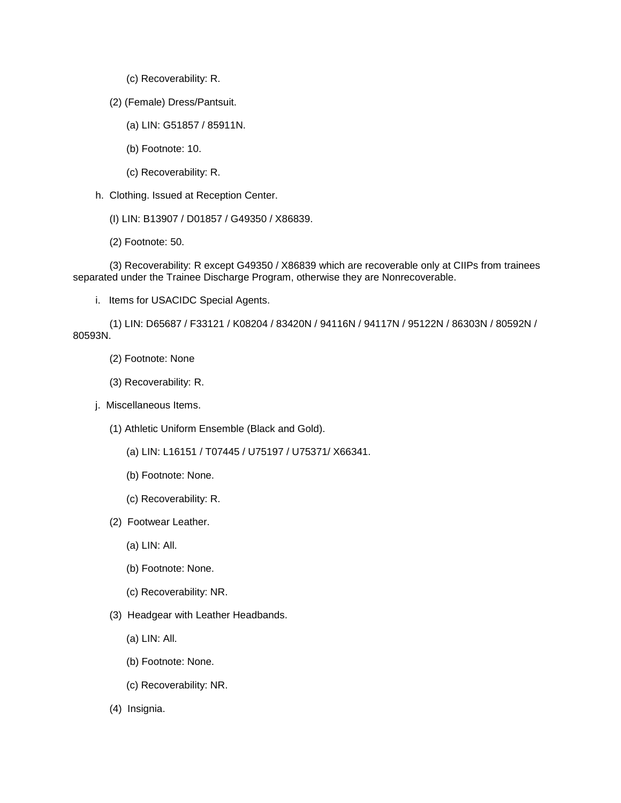- (c) Recoverability: R.
- (2) (Female) Dress/Pantsuit.
	- (a) LIN: G51857 / 85911N.
	- (b) Footnote: 10.
	- (c) Recoverability: R.
- h. Clothing. Issued at Reception Center.
	- (I) LIN: B13907 / D01857 / G49350 / X86839.
	- (2) Footnote: 50.

 (3) Recoverability: R except G49350 / X86839 which are recoverable only at CIIPs from trainees separated under the Trainee Discharge Program, otherwise they are Nonrecoverable.

i. Items for USACIDC Special Agents.

 (1) LIN: D65687 / F33121 / K08204 / 83420N / 94116N / 94117N / 95122N / 86303N / 80592N / 80593N.

- (2) Footnote: None
- (3) Recoverability: R.
- j. Miscellaneous Items.
	- (1) Athletic Uniform Ensemble (Black and Gold).
		- (a) LIN: L16151 / T07445 / U75197 / U75371/ X66341.
		- (b) Footnote: None.
		- (c) Recoverability: R.
	- (2) Footwear Leather.
		- (a) LIN: All.
		- (b) Footnote: None.
		- (c) Recoverability: NR.
	- (3) Headgear with Leather Headbands.
		- (a) LIN: All.
		- (b) Footnote: None.
		- (c) Recoverability: NR.
	- (4) Insignia.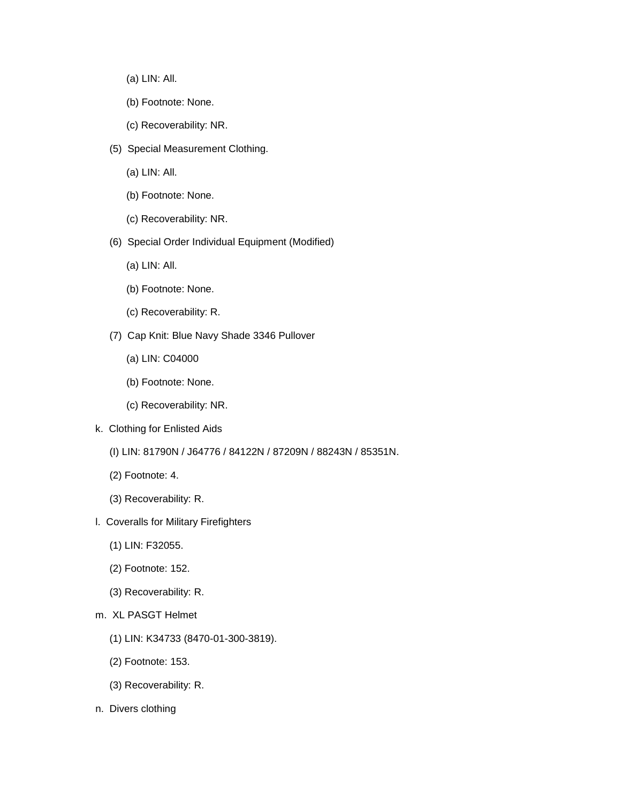- (a) LIN: All.
- (b) Footnote: None.
- (c) Recoverability: NR.
- (5) Special Measurement Clothing.
	- (a) LIN: All.
	- (b) Footnote: None.
	- (c) Recoverability: NR.
- (6) Special Order Individual Equipment (Modified)
	- (a) LIN: All.
	- (b) Footnote: None.
	- (c) Recoverability: R.
- (7) Cap Knit: Blue Navy Shade 3346 Pullover
	- (a) LIN: C04000
	- (b) Footnote: None.
	- (c) Recoverability: NR.
- k. Clothing for Enlisted Aids
	- (I) LIN: 81790N / J64776 / 84122N / 87209N / 88243N / 85351N.
	- (2) Footnote: 4.
	- (3) Recoverability: R.
- l. Coveralls for Military Firefighters
	- (1) LIN: F32055.
	- (2) Footnote: 152.
	- (3) Recoverability: R.
- m. XL PASGT Helmet
	- (1) LIN: K34733 (8470-01-300-3819).
	- (2) Footnote: 153.
	- (3) Recoverability: R.
- n. Divers clothing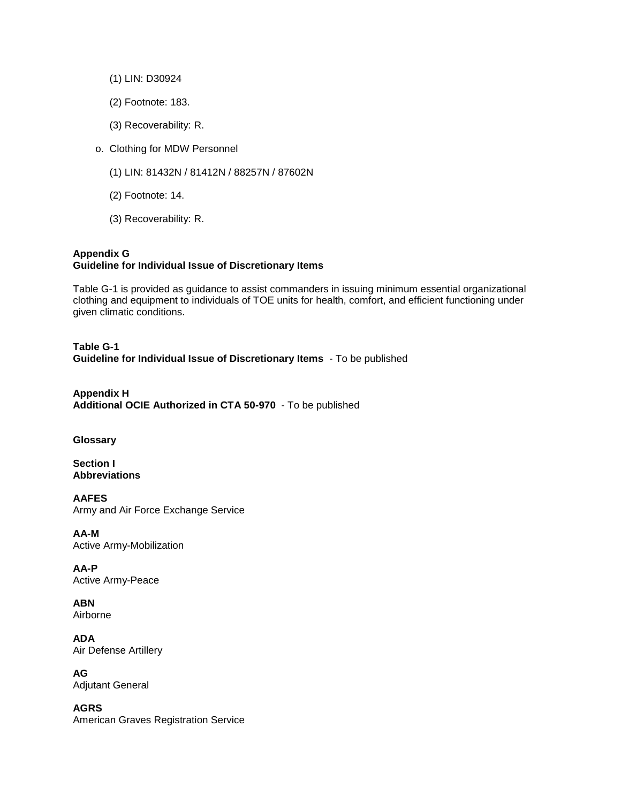- (1) LIN: D30924
- (2) Footnote: 183.
- (3) Recoverability: R.
- o. Clothing for MDW Personnel
	- (1) LIN: 81432N / 81412N / 88257N / 87602N
	- (2) Footnote: 14.
	- (3) Recoverability: R.

## **Appendix G Guideline for Individual Issue of Discretionary Items**

Table G-1 is provided as guidance to assist commanders in issuing minimum essential organizational clothing and equipment to individuals of TOE units for health, comfort, and efficient functioning under given climatic conditions.

**Table G-1 Guideline for Individual Issue of Discretionary Items** - To be published

**Appendix H Additional OCIE Authorized in CTA 50-970** - To be published

# **Glossary**

**Section I Abbreviations**

**AAFES**  Army and Air Force Exchange Service

**AA-M**  Active Army-Mobilization

**AA-P**  Active Army-Peace

**ABN**  Airborne

**ADA**  Air Defense Artillery

**AG**  Adjutant General

**AGRS**  American Graves Registration Service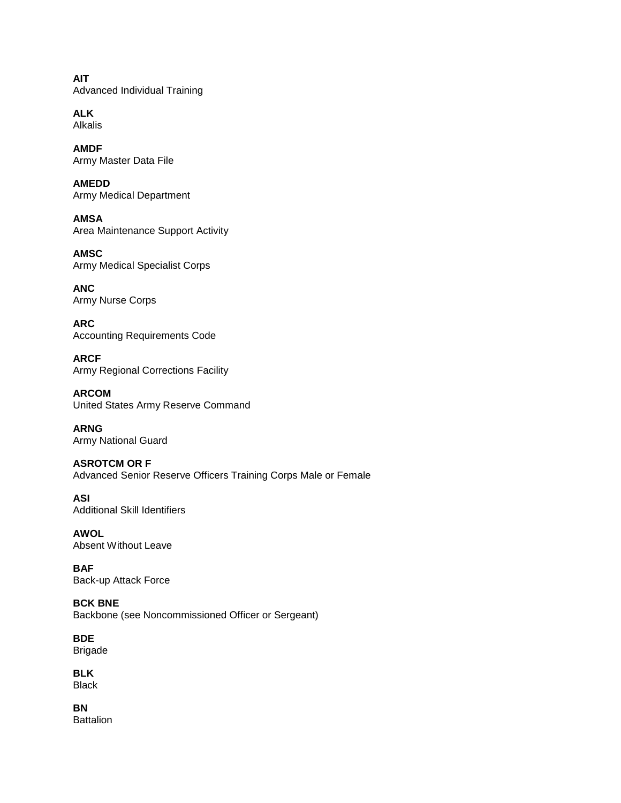**AIT**  Advanced Individual Training

**ALK**  Alkalis

**AMDF**  Army Master Data File

**AMEDD**  Army Medical Department

**AMSA**  Area Maintenance Support Activity

**AMSC**  Army Medical Specialist Corps

**ANC**  Army Nurse Corps

**ARC**  Accounting Requirements Code

**ARCF**  Army Regional Corrections Facility

**ARCOM**  United States Army Reserve Command

**ARNG**  Army National Guard

**ASROTCM OR F**  Advanced Senior Reserve Officers Training Corps Male or Female

**ASI**  Additional Skill Identifiers

**AWOL**  Absent Without Leave

**BAF**  Back-up Attack Force

**BCK BNE** Backbone (see Noncommissioned Officer or Sergeant)

**BDE**  Brigade

**BLK**  Black

**BN Battalion**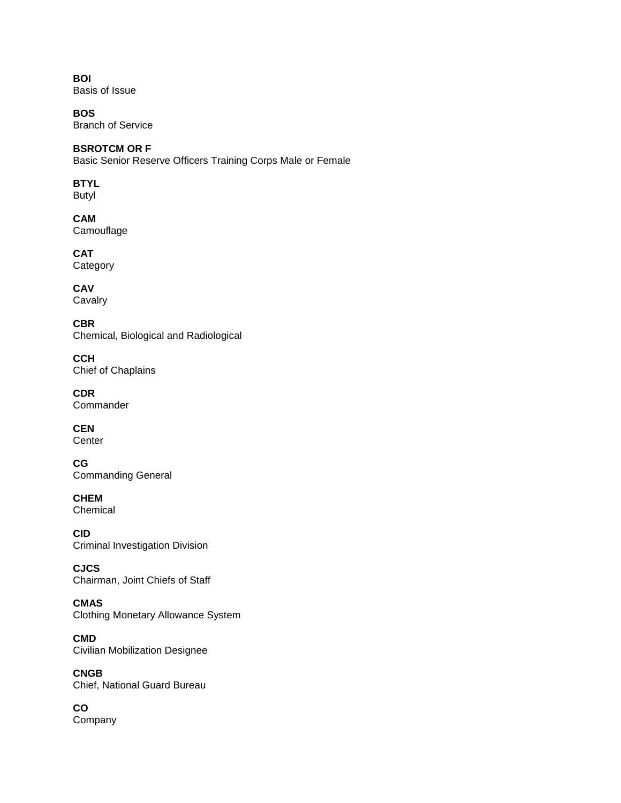**BOI**  Basis of Issue

**BOS** Branch of Service

# **BSROTCM OR F**

Basic Senior Reserve Officers Training Corps Male or Female

# **BTYL**

Butyl

**CAM** 

**Camouflage** 

**CAT** 

**Category** 

**CAV** Cavalry

**CBR**  Chemical, Biological and Radiological

**CCH**  Chief of Chaplains

**CDR Commander** 

**CEN Center** 

**CG**  Commanding General

**CHEM Chemical** 

**CID**  Criminal Investigation Division

**CJCS**  Chairman, Joint Chiefs of Staff

**CMAS**  Clothing Monetary Allowance System

**CMD**  Civilian Mobilization Designee

**CNGB**  Chief, National Guard Bureau

**CO**  Company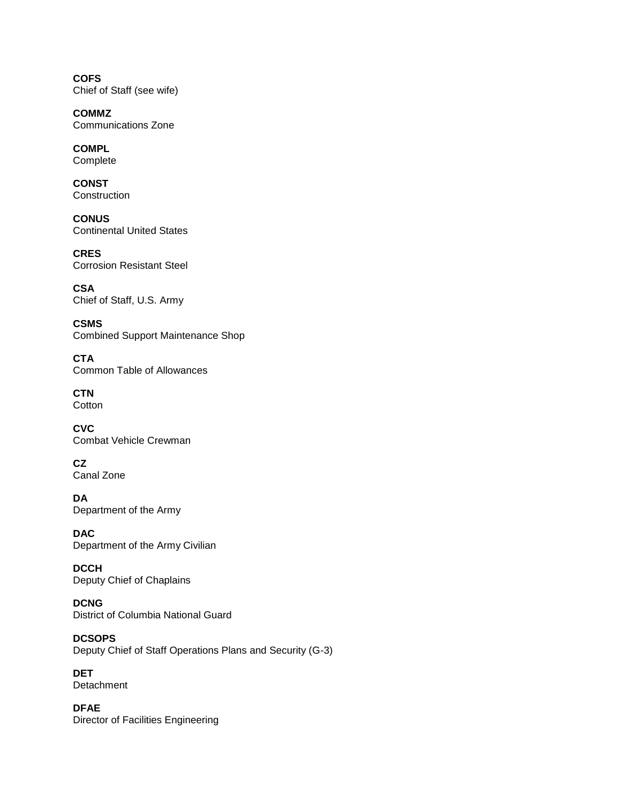**COFS**  Chief of Staff (see wife)

**COMMZ**  Communications Zone

**COMPL**  Complete

**CONST Construction** 

**CONUS**  Continental United States

**CRES**  Corrosion Resistant Steel

**CSA**  Chief of Staff, U.S. Army

**CSMS**  Combined Support Maintenance Shop

**CTA**  Common Table of Allowances

**CTN Cotton** 

**CVC**  Combat Vehicle Crewman

**CZ**  Canal Zone

**DA**  Department of the Army

**DAC**  Department of the Army Civilian

**DCCH**  Deputy Chief of Chaplains

**DCNG**  District of Columbia National Guard

**DCSOPS**  Deputy Chief of Staff Operations Plans and Security (G-3)

**DET Detachment** 

**DFAE**  Director of Facilities Engineering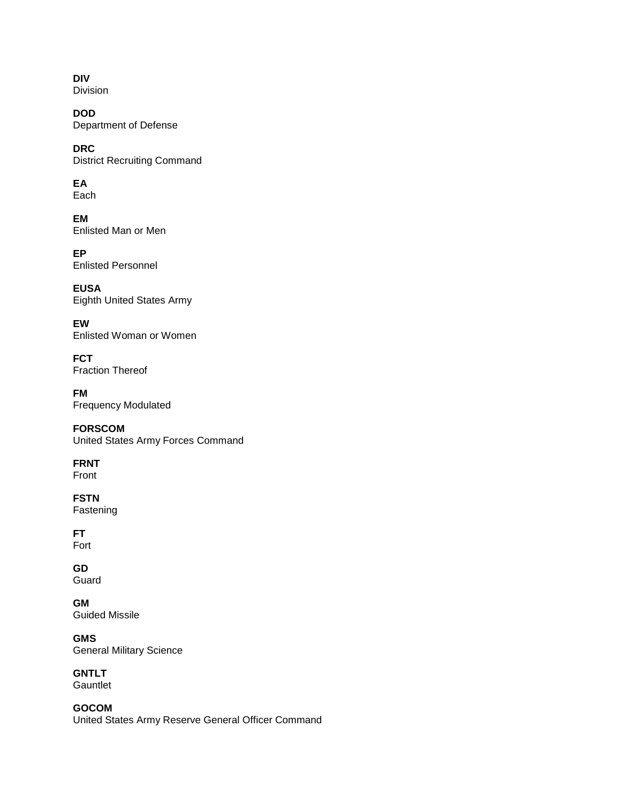**DIV**  Division

**DOD**  Department of Defense

**DRC**  District Recruiting Command

**EA**  Each

**EM**  Enlisted Man or Men

**EP**  Enlisted Personnel

**EUSA**  Eighth United States Army

**EW**  Enlisted Woman or Women

**FCT**  Fraction Thereof

**FM**  Frequency Modulated

**FORSCOM**  United States Army Forces Command

**FRNT**  Front

**FSTN**  Fastening

**FT**  Fort

**GD**  Guard

**GM**  Guided Missile

**GMS**  General Military Science

**GNTLT Gauntlet** 

**GOCOM**  United States Army Reserve General Officer Command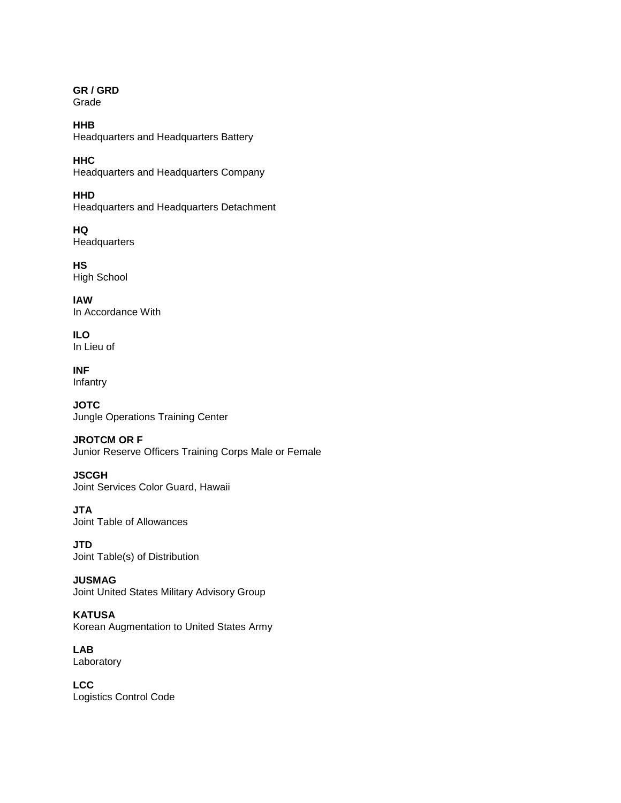#### **GR / GRD**  Grade

**HHB**  Headquarters and Headquarters Battery

**HHC**  Headquarters and Headquarters Company

**HHD**  Headquarters and Headquarters Detachment

**HQ Headquarters** 

**HS**  High School

**lAW**  In Accordance With

**ILO**  In Lieu of

**INF**  Infantry

**JOTC**  Jungle Operations Training Center

# **JROTCM OR F**

Junior Reserve Officers Training Corps Male or Female

**JSCGH**  Joint Services Color Guard, Hawaii

**JTA**  Joint Table of Allowances

**JTD**  Joint Table(s) of Distribution

**JUSMAG**  Joint United States Military Advisory Group

**KATUSA**  Korean Augmentation to United States Army

**LAB**  Laboratory

**LCC**  Logistics Control Code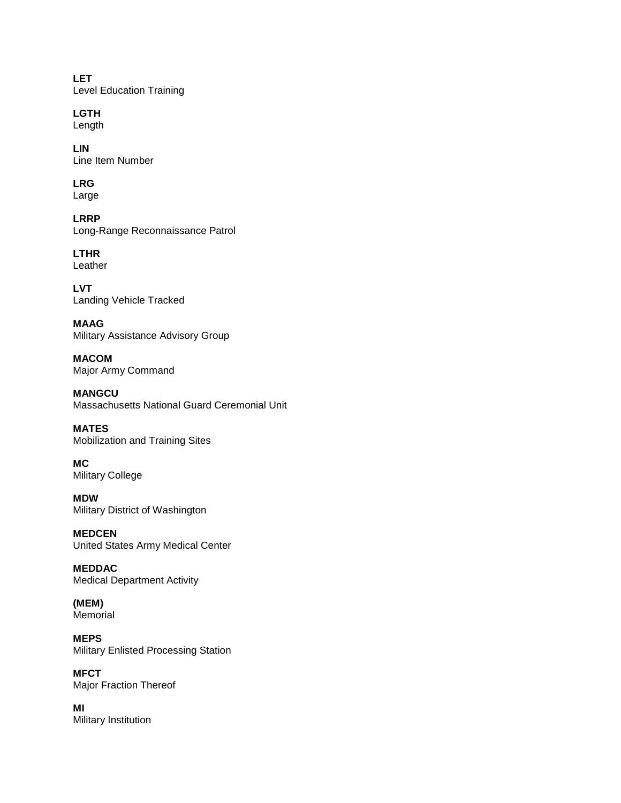**LET**  Level Education Training

**LGTH**  Length

**LIN**  Line Item Number

# **LRG**

Large

**LRRP**  Long-Range Reconnaissance Patrol

**LTHR**  Leather

**LVT**  Landing Vehicle Tracked

**MAAG**  Military Assistance Advisory Group

**MACOM**  Major Army Command

**MANGCU**  Massachusetts National Guard Ceremonial Unit

**MATES**  Mobilization and Training Sites

**MC**  Military College

**MDW**  Military District of Washington

**MEDCEN**  United States Army Medical Center

**MEDDAC**  Medical Department Activity

**(MEM)**  Memorial

**MEPS**  Military Enlisted Processing Station

**MFCT**  Major Fraction Thereof

**MI**  Military Institution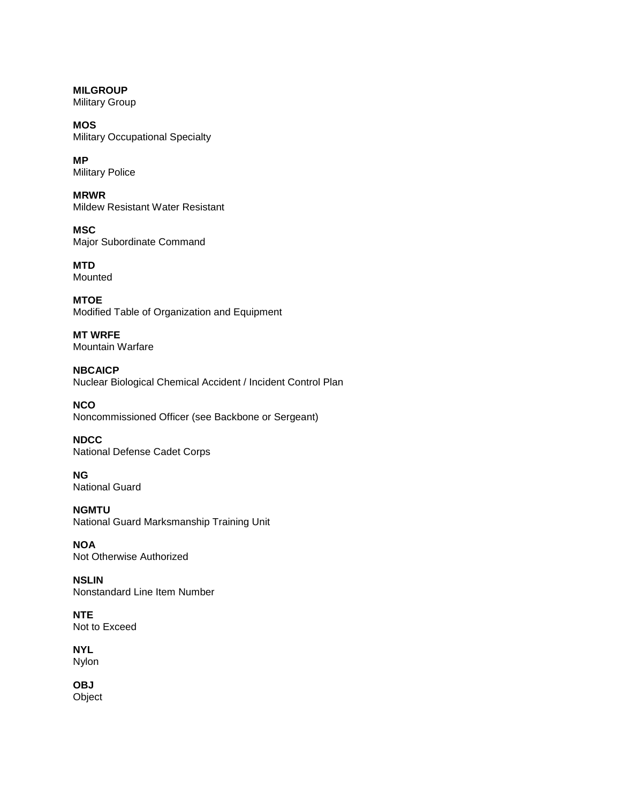**MILGROUP**  Military Group

**MOS**  Military Occupational Specialty

**MP**  Military Police

**MRWR**  Mildew Resistant Water Resistant

**MSC**  Major Subordinate Command

**MTD**  Mounted

**MTOE**  Modified Table of Organization and Equipment

**MT WRFE**  Mountain Warfare

**NBCAICP**  Nuclear Biological Chemical Accident / Incident Control Plan

**NCO**  Noncommissioned Officer (see Backbone or Sergeant)

**NDCC**  National Defense Cadet Corps

**NG**  National Guard

**NGMTU**  National Guard Marksmanship Training Unit

**NOA**  Not Otherwise Authorized

**NSLIN**  Nonstandard Line Item Number

**NTE**  Not to Exceed

**NYL**  Nylon

**OBJ**  Object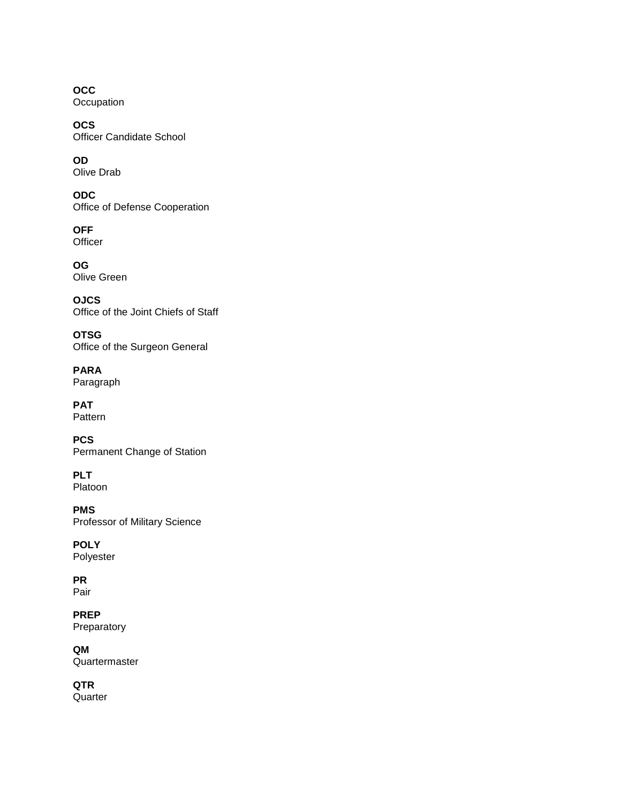**OCC Occupation** 

**OCS**  Officer Candidate School

**OD**  Olive Drab

**ODC**  Office of Defense Cooperation

**OFF Officer** 

**OG**  Olive Green

**OJCS**  Office of the Joint Chiefs of Staff

**OTSG**  Office of the Surgeon General

**PARA**  Paragraph

**PAT**  Pattern

**PCS**  Permanent Change of Station

**PLT**  Platoon

**PMS**  Professor of Military Science

**POLY**  Polyester

**PR**  Pair

**PREP**  Preparatory

**QM**  Quartermaster

**QTR Quarter**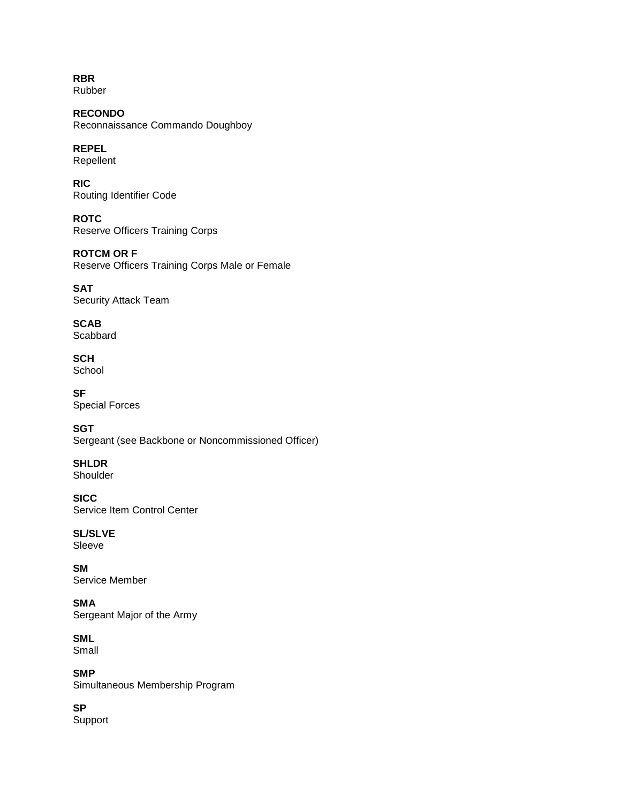**RBR**  Rubber

**RECONDO**  Reconnaissance Commando Doughboy

**REPEL**  Repellent

**RIC**  Routing Identifier Code

**ROTC**  Reserve Officers Training Corps

**ROTCM OR F**  Reserve Officers Training Corps Male or Female

**SAT**  Security Attack Team

**SCAB Scabbard** 

**SCH**  School

**SF**  Special Forces

**SGT** Sergeant (see Backbone or Noncommissioned Officer)

**SHLDR**  Shoulder

**SICC**  Service Item Control Center

**SL/SLVE**  Sleeve

**SM**  Service Member

**SMA**  Sergeant Major of the Army

**SML**  Small

**SMP** 

Simultaneous Membership Program

**SP** 

Support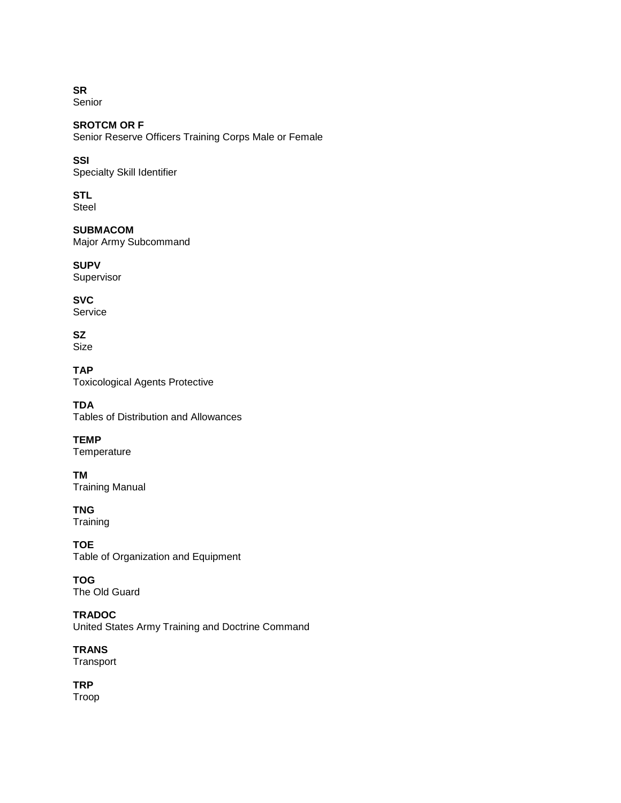**SR**  Senior

**SROTCM OR F**  Senior Reserve Officers Training Corps Male or Female

# **SSI**

Specialty Skill Identifier

# **STL**

Steel

# **SUBMACOM**

Major Army Subcommand

**SUPV**  Supervisor

**SVC**  Service

#### **SZ**  Size

**TAP**  Toxicological Agents Protective

**TDA**  Tables of Distribution and Allowances

**TEMP Temperature** 

**TM**  Training Manual

**TNG Training** 

**TOE**  Table of Organization and Equipment

**TOG**  The Old Guard

**TRADOC**  United States Army Training and Doctrine Command

**TRANS** 

Transport

**TRP**  Troop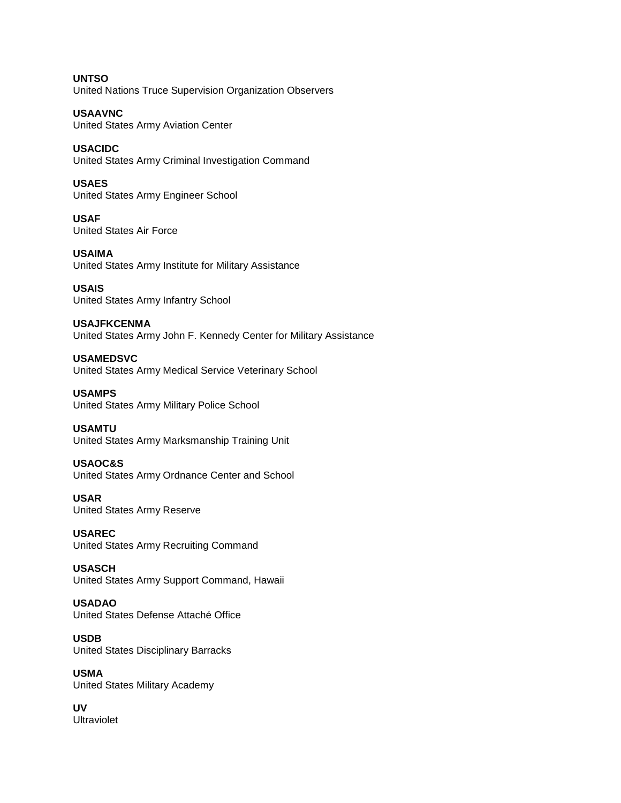**UNTSO**  United Nations Truce Supervision Organization Observers

**USAAVNC**  United States Army Aviation Center

**USACIDC**  United States Army Criminal Investigation Command

**USAES**  United States Army Engineer School

**USAF**  United States Air Force

**USAIMA**  United States Army Institute for Military Assistance

**USAIS**  United States Army Infantry School

**USAJFKCENMA**  United States Army John F. Kennedy Center for Military Assistance

**USAMEDSVC**  United States Army Medical Service Veterinary School

**USAMPS**  United States Army Military Police School

**USAMTU**  United States Army Marksmanship Training Unit

**USAOC&S**  United States Army Ordnance Center and School

**USAR**  United States Army Reserve

**USAREC**  United States Army Recruiting Command

**USASCH**  United States Army Support Command, Hawaii

**USADAO**  United States Defense Attaché Office

**USDB**  United States Disciplinary Barracks

**USMA**  United States Military Academy

**UV**  Ultraviolet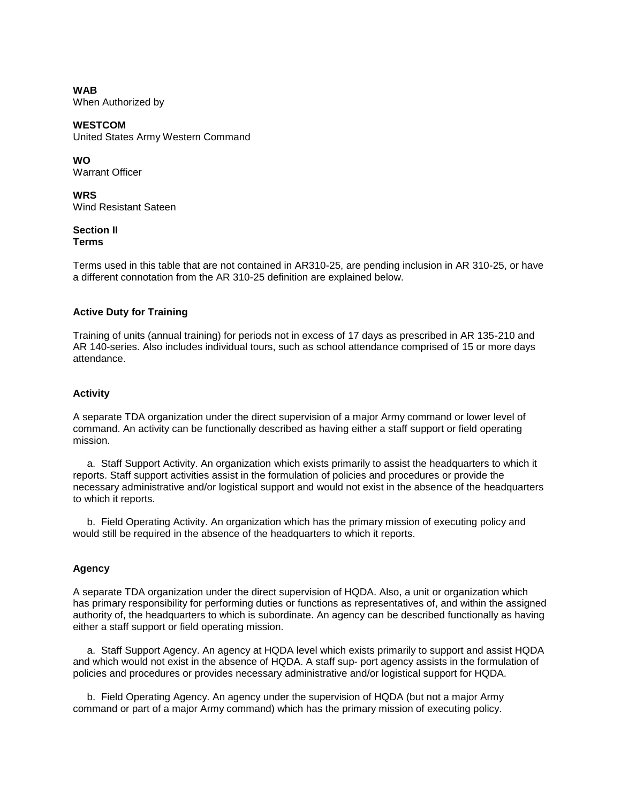**WAB**  When Authorized by

**WESTCOM**  United States Army Western Command

**WO** 

Warrant Officer

**WRS**  Wind Resistant Sateen

#### **Section II Terms**

Terms used in this table that are not contained in AR310-25, are pending inclusion in AR 310-25, or have a different connotation from the AR 310-25 definition are explained below.

# **Active Duty for Training**

Training of units (annual training) for periods not in excess of 17 days as prescribed in AR 135-210 and AR 140-series. Also includes individual tours, such as school attendance comprised of 15 or more days attendance.

# **Activity**

A separate TDA organization under the direct supervision of a major Army command or lower level of command. An activity can be functionally described as having either a staff support or field operating mission.

 a. Staff Support Activity. An organization which exists primarily to assist the headquarters to which it reports. Staff support activities assist in the formulation of policies and procedures or provide the necessary administrative and/or logistical support and would not exist in the absence of the headquarters to which it reports.

 b. Field Operating Activity. An organization which has the primary mission of executing policy and would still be required in the absence of the headquarters to which it reports.

# **Agency**

A separate TDA organization under the direct supervision of HQDA. Also, a unit or organization which has primary responsibility for performing duties or functions as representatives of, and within the assigned authority of, the headquarters to which is subordinate. An agency can be described functionally as having either a staff support or field operating mission.

 a. Staff Support Agency. An agency at HQDA level which exists primarily to support and assist HQDA and which would not exist in the absence of HQDA. A staff sup- port agency assists in the formulation of policies and procedures or provides necessary administrative and/or logistical support for HQDA.

 b. Field Operating Agency. An agency under the supervision of HQDA (but not a major Army command or part of a major Army command) which has the primary mission of executing policy.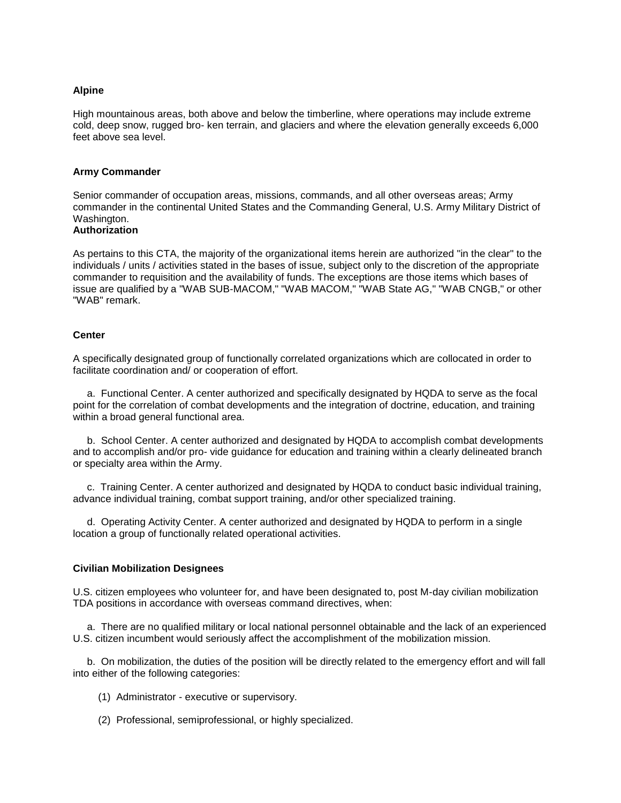#### **Alpine**

High mountainous areas, both above and below the timberline, where operations may include extreme cold, deep snow, rugged bro- ken terrain, and glaciers and where the elevation generally exceeds 6,000 feet above sea level.

#### **Army Commander**

Senior commander of occupation areas, missions, commands, and all other overseas areas; Army commander in the continental United States and the Commanding General, U.S. Army Military District of Washington.

#### **Authorization**

As pertains to this CTA, the majority of the organizational items herein are authorized "in the clear" to the individuals / units / activities stated in the bases of issue, subject only to the discretion of the appropriate commander to requisition and the availability of funds. The exceptions are those items which bases of issue are qualified by a "WAB SUB-MACOM," "WAB MACOM," "WAB State AG," "WAB CNGB," or other "WAB" remark.

#### **Center**

A specifically designated group of functionally correlated organizations which are collocated in order to facilitate coordination and/ or cooperation of effort.

 a. Functional Center. A center authorized and specifically designated by HQDA to serve as the focal point for the correlation of combat developments and the integration of doctrine, education, and training within a broad general functional area.

 b. School Center. A center authorized and designated by HQDA to accomplish combat developments and to accomplish and/or pro- vide guidance for education and training within a clearly delineated branch or specialty area within the Army.

 c. Training Center. A center authorized and designated by HQDA to conduct basic individual training, advance individual training, combat support training, and/or other specialized training.

 d. Operating Activity Center. A center authorized and designated by HQDA to perform in a single location a group of functionally related operational activities.

#### **Civilian Mobilization Designees**

U.S. citizen employees who volunteer for, and have been designated to, post M-day civilian mobilization TDA positions in accordance with overseas command directives, when:

 a. There are no qualified military or local national personnel obtainable and the lack of an experienced U.S. citizen incumbent would seriously affect the accomplishment of the mobilization mission.

 b. On mobilization, the duties of the position will be directly related to the emergency effort and will fall into either of the following categories:

(1) Administrator - executive or supervisory.

(2) Professional, semiprofessional, or highly specialized.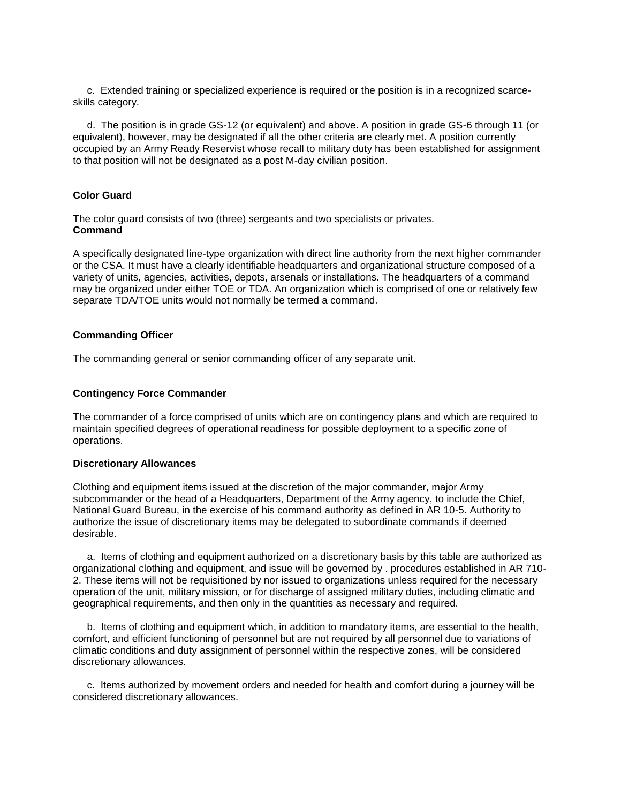c. Extended training or specialized experience is required or the position is in a recognized scarceskills category.

 d. The position is in grade GS-12 (or equivalent) and above. A position in grade GS-6 through 11 (or equivalent), however, may be designated if all the other criteria are clearly met. A position currently occupied by an Army Ready Reservist whose recall to military duty has been established for assignment to that position will not be designated as a post M-day civilian position.

### **Color Guard**

The color guard consists of two (three) sergeants and two specialists or privates. **Command**

A specifically designated line-type organization with direct line authority from the next higher commander or the CSA. It must have a clearly identifiable headquarters and organizational structure composed of a variety of units, agencies, activities, depots, arsenals or installations. The headquarters of a command may be organized under either TOE or TDA. An organization which is comprised of one or relatively few separate TDA/TOE units would not normally be termed a command.

#### **Commanding Officer**

The commanding general or senior commanding officer of any separate unit.

#### **Contingency Force Commander**

The commander of a force comprised of units which are on contingency plans and which are required to maintain specified degrees of operational readiness for possible deployment to a specific zone of operations.

#### **Discretionary Allowances**

Clothing and equipment items issued at the discretion of the major commander, major Army subcommander or the head of a Headquarters, Department of the Army agency, to include the Chief, National Guard Bureau, in the exercise of his command authority as defined in AR 10-5. Authority to authorize the issue of discretionary items may be delegated to subordinate commands if deemed desirable.

 a. Items of clothing and equipment authorized on a discretionary basis by this table are authorized as organizational clothing and equipment, and issue will be governed by . procedures established in AR 710- 2. These items will not be requisitioned by nor issued to organizations unless required for the necessary operation of the unit, military mission, or for discharge of assigned military duties, including climatic and geographical requirements, and then only in the quantities as necessary and required.

 b. Items of clothing and equipment which, in addition to mandatory items, are essential to the health, comfort, and efficient functioning of personnel but are not required by all personnel due to variations of climatic conditions and duty assignment of personnel within the respective zones, will be considered discretionary allowances.

 c. Items authorized by movement orders and needed for health and comfort during a journey will be considered discretionary allowances.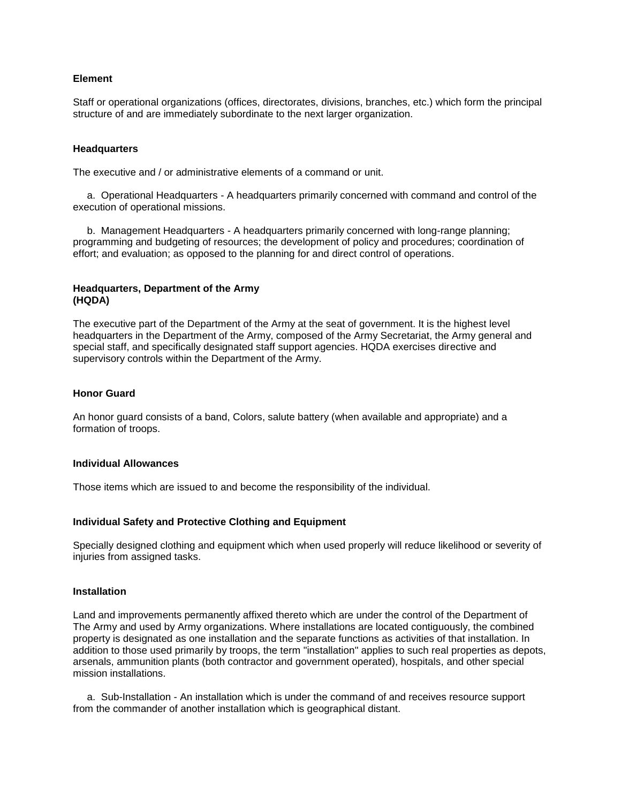#### **Element**

Staff or operational organizations (offices, directorates, divisions, branches, etc.) which form the principal structure of and are immediately subordinate to the next larger organization.

#### **Headquarters**

The executive and / or administrative elements of a command or unit.

 a. Operational Headquarters - A headquarters primarily concerned with command and control of the execution of operational missions.

 b. Management Headquarters - A headquarters primarily concerned with long-range planning; programming and budgeting of resources; the development of policy and procedures; coordination of effort; and evaluation; as opposed to the planning for and direct control of operations.

#### **Headquarters, Department of the Army (HQDA)**

The executive part of the Department of the Army at the seat of government. It is the highest level headquarters in the Department of the Army, composed of the Army Secretariat, the Army general and special staff, and specifically designated staff support agencies. HQDA exercises directive and supervisory controls within the Department of the Army.

#### **Honor Guard**

An honor guard consists of a band, Colors, salute battery (when available and appropriate) and a formation of troops.

#### **Individual Allowances**

Those items which are issued to and become the responsibility of the individual.

#### **Individual Safety and Protective Clothing and Equipment**

Specially designed clothing and equipment which when used properly will reduce likelihood or severity of injuries from assigned tasks.

#### **Installation**

Land and improvements permanently affixed thereto which are under the control of the Department of The Army and used by Army organizations. Where installations are located contiguously, the combined property is designated as one installation and the separate functions as activities of that installation. In addition to those used primarily by troops, the term "installation" applies to such real properties as depots, arsenals, ammunition plants (both contractor and government operated), hospitals, and other special mission installations.

 a. Sub-Installation - An installation which is under the command of and receives resource support from the commander of another installation which is geographical distant.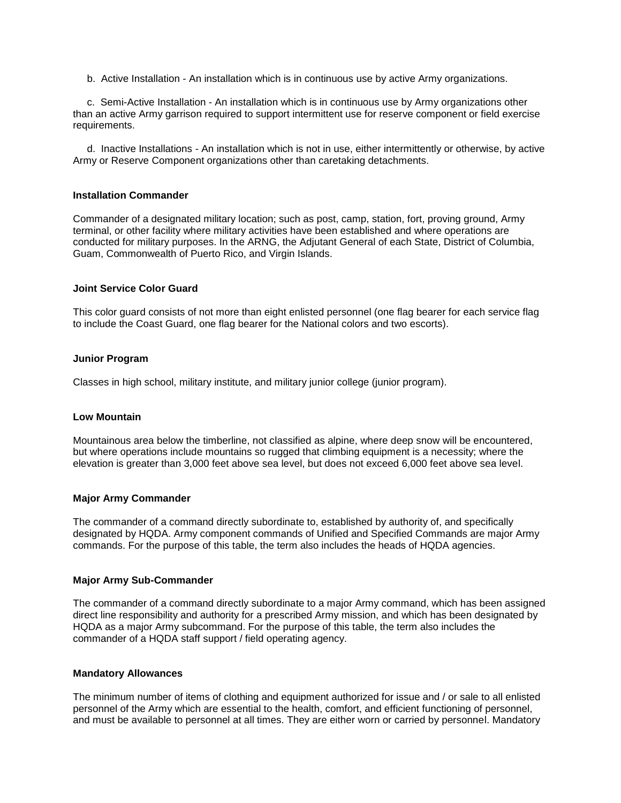b. Active Installation - An installation which is in continuous use by active Army organizations.

 c. Semi-Active Installation - An installation which is in continuous use by Army organizations other than an active Army garrison required to support intermittent use for reserve component or field exercise requirements.

 d. Inactive Installations - An installation which is not in use, either intermittently or otherwise, by active Army or Reserve Component organizations other than caretaking detachments.

#### **Installation Commander**

Commander of a designated military location; such as post, camp, station, fort, proving ground, Army terminal, or other facility where military activities have been established and where operations are conducted for military purposes. In the ARNG, the Adjutant General of each State, District of Columbia, Guam, Commonwealth of Puerto Rico, and Virgin Islands.

#### **Joint Service Color Guard**

This color guard consists of not more than eight enlisted personnel (one flag bearer for each service flag to include the Coast Guard, one flag bearer for the National colors and two escorts).

#### **Junior Program**

Classes in high school, military institute, and military junior college (junior program).

#### **Low Mountain**

Mountainous area below the timberline, not classified as alpine, where deep snow will be encountered, but where operations include mountains so rugged that climbing equipment is a necessity; where the elevation is greater than 3,000 feet above sea level, but does not exceed 6,000 feet above sea level.

#### **Major Army Commander**

The commander of a command directly subordinate to, established by authority of, and specifically designated by HQDA. Army component commands of Unified and Specified Commands are major Army commands. For the purpose of this table, the term also includes the heads of HQDA agencies.

#### **Major Army Sub-Commander**

The commander of a command directly subordinate to a major Army command, which has been assigned direct line responsibility and authority for a prescribed Army mission, and which has been designated by HQDA as a major Army subcommand. For the purpose of this table, the term also includes the commander of a HQDA staff support / field operating agency.

#### **Mandatory Allowances**

The minimum number of items of clothing and equipment authorized for issue and / or sale to all enlisted personnel of the Army which are essential to the health, comfort, and efficient functioning of personnel, and must be available to personnel at all times. They are either worn or carried by personnel. Mandatory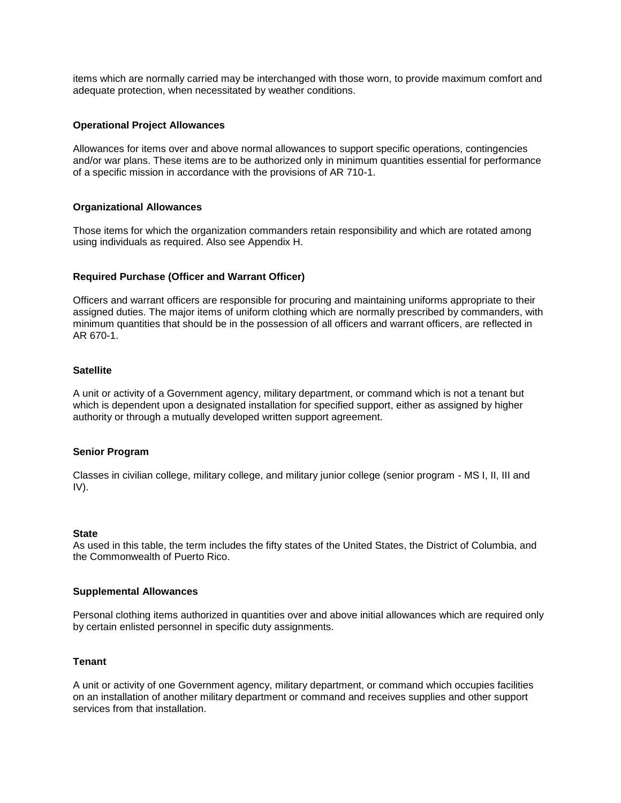items which are normally carried may be interchanged with those worn, to provide maximum comfort and adequate protection, when necessitated by weather conditions.

#### **Operational Project Allowances**

Allowances for items over and above normal allowances to support specific operations, contingencies and/or war plans. These items are to be authorized only in minimum quantities essential for performance of a specific mission in accordance with the provisions of AR 710-1.

#### **Organizational Allowances**

Those items for which the organization commanders retain responsibility and which are rotated among using individuals as required. Also see Appendix H.

#### **Required Purchase (Officer and Warrant Officer)**

Officers and warrant officers are responsible for procuring and maintaining uniforms appropriate to their assigned duties. The major items of uniform clothing which are normally prescribed by commanders, with minimum quantities that should be in the possession of all officers and warrant officers, are reflected in AR 670-1.

#### **Satellite**

A unit or activity of a Government agency, military department, or command which is not a tenant but which is dependent upon a designated installation for specified support, either as assigned by higher authority or through a mutually developed written support agreement.

#### **Senior Program**

Classes in civilian college, military college, and military junior college (senior program - MS I, II, III and IV).

#### **State**

As used in this table, the term includes the fifty states of the United States, the District of Columbia, and the Commonwealth of Puerto Rico.

#### **Supplemental Allowances**

Personal clothing items authorized in quantities over and above initial allowances which are required only by certain enlisted personnel in specific duty assignments.

#### **Tenant**

A unit or activity of one Government agency, military department, or command which occupies facilities on an installation of another military department or command and receives supplies and other support services from that installation.